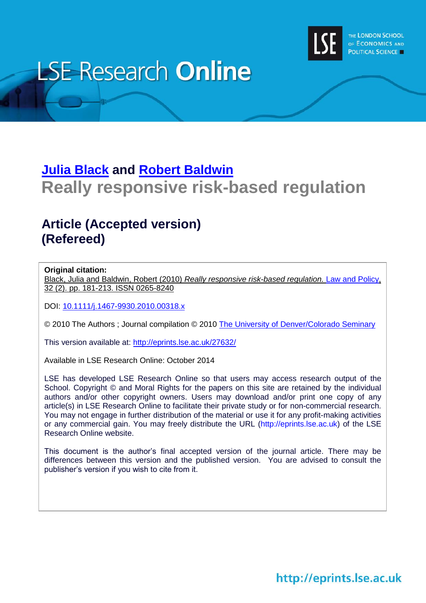

# **LSE Research Online**

## **[Julia Black](http://www.lse.ac.uk/researchAndExpertise/Experts/j.black%40lse.ac.uk) and [Robert Baldwin](http://www.lse.ac.uk/researchAndExpertise/Experts/r.baldwin%40lse.ac.uk) Really responsive risk-based regulation**

### **Article (Accepted version) (Refereed)**

#### **Original citation:**

Black, Julia and Baldwin, Robert (2010) *Really responsive risk-based regulation.* [Law and Policy,](http://onlinelibrary.wiley.com/journal/10.1111/(ISSN)1467-9930) 32 (2). pp. 181-213. ISSN 0265-8240

DOI: [10.1111/j.1467-9930.2010.00318.x](http://dx.doi.org/10.1111/j.1467-9930.2010.00318.x)

© 2010 The Authors ; Journal compilation © 2010 [The University of Denver/Colorado Seminary](http://www.du.edu/)

This version available at:<http://eprints.lse.ac.uk/27632/>

Available in LSE Research Online: October 2014

LSE has developed LSE Research Online so that users may access research output of the School. Copyright © and Moral Rights for the papers on this site are retained by the individual authors and/or other copyright owners. Users may download and/or print one copy of any article(s) in LSE Research Online to facilitate their private study or for non-commercial research. You may not engage in further distribution of the material or use it for any profit-making activities or any commercial gain. You may freely distribute the URL (http://eprints.lse.ac.uk) of the LSE Research Online website.

This document is the author's final accepted version of the journal article. There may be differences between this version and the published version. You are advised to consult the publisher's version if you wish to cite from it.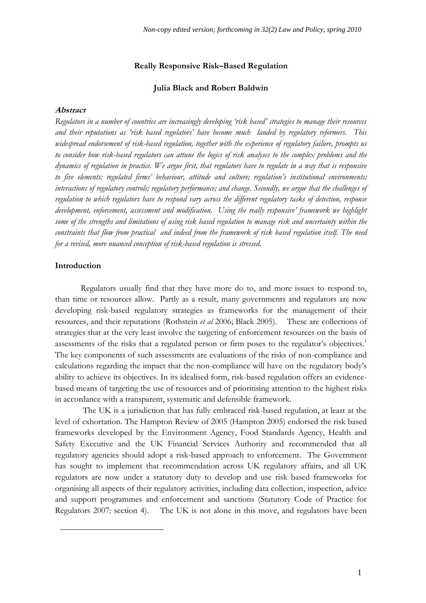#### **Really Responsive Risk–Based Regulation**

#### **Julia Black and Robert Baldwin**

#### **Abstract**

*Regulators in a number of countries are increasingly developing 'risk based' strategies to manage their resources and their reputations as 'risk based regulators' have become much lauded by regulatory reformers. This widespread endorsement of risk-based regulation, together with the experience of regulatory failure, prompts us to consider how risk-based regulators can attune the logics of risk analyses to the complex problems and the dynamics of regulation in practice. We argue first, that regulators have to regulate in a way that is responsive to five elements: regulated firms' behaviour, attitude and culture; regulation's institutional environments; interactions of regulatory controls; regulatory performance; and change. Secondly, we argue that the challenges of regulation to which regulators have to respond vary across the different regulatory tasks of detection, response development, enforcement, assessment and modification. Using the really responsive' framework we highlight some of the strengths and limitations of using risk based regulation to manage risk and uncertainty within the constraints that flow from practical and indeed from the framework of risk based regulation itself. The need for a revised, more nuanced conception of risk-based regulation is stressed.*

#### **Introduction**

 $\overline{a}$ 

Regulators usually find that they have more do to, and more issues to respond to, than time or resources allow. Partly as a result, many governments and regulators are now developing risk-based regulatory strategies as frameworks for the management of their resources, and their reputations (Rothstein *et al* 2006; Black 2005). These are collections of strategies that at the very least involve the targeting of enforcement resources on the basis of assessments of the risks that a regulated person or firm poses to the regulator's objectives.<sup>1</sup> The key components of such assessments are evaluations of the risks of non-compliance and calculations regarding the impact that the non-compliance will have on the regulatory body's ability to achieve its objectives. In its idealised form, risk-based regulation offers an evidencebased means of targeting the use of resources and of prioritising attention to the highest risks in accordance with a transparent, systematic and defensible framework.

The UK is a jurisdiction that has fully embraced risk-based regulation, at least at the level of exhortation. The Hampton Review of 2005 (Hampton 2005) endorsed the risk based frameworks developed by the Environment Agency, Food Standards Agency, Health and Safety Executive and the UK Financial Services Authority and recommended that all regulatory agencies should adopt a risk-based approach to enforcement. The Government has sought to implement that recommendation across UK regulatory affairs, and all UK regulators are now under a statutory duty to develop and use risk based frameworks for organising all aspects of their regulatory activities, including data collection, inspection, advice and support programmes and enforcement and sanctions (Statutory Code of Practice for Regulators 2007: section 4). The UK is not alone in this move, and regulators have been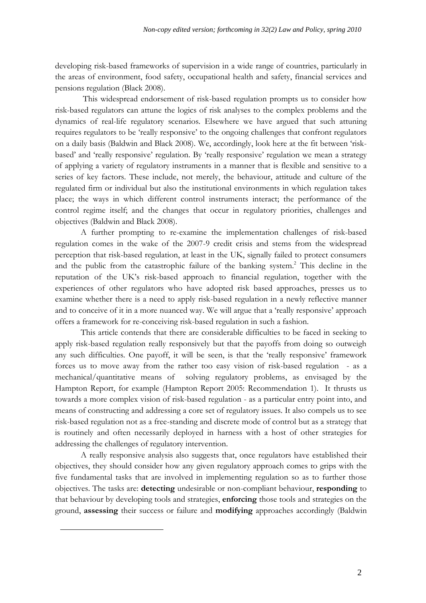developing risk-based frameworks of supervision in a wide range of countries, particularly in the areas of environment, food safety, occupational health and safety, financial services and pensions regulation (Black 2008).

This widespread endorsement of risk-based regulation prompts us to consider how risk-based regulators can attune the logics of risk analyses to the complex problems and the dynamics of real-life regulatory scenarios. Elsewhere we have argued that such attuning requires regulators to be 'really responsive' to the ongoing challenges that confront regulators on a daily basis (Baldwin and Black 2008). We, accordingly, look here at the fit between 'riskbased' and 'really responsive' regulation. By 'really responsive' regulation we mean a strategy of applying a variety of regulatory instruments in a manner that is flexible and sensitive to a series of key factors. These include, not merely, the behaviour, attitude and culture of the regulated firm or individual but also the institutional environments in which regulation takes place; the ways in which different control instruments interact; the performance of the control regime itself; and the changes that occur in regulatory priorities, challenges and objectives (Baldwin and Black 2008).

A further prompting to re-examine the implementation challenges of risk-based regulation comes in the wake of the 2007-9 credit crisis and stems from the widespread perception that risk-based regulation, at least in the UK, signally failed to protect consumers and the public from the catastrophic failure of the banking system.<sup>2</sup> This decline in the reputation of the UK's risk-based approach to financial regulation, together with the experiences of other regulators who have adopted risk based approaches, presses us to examine whether there is a need to apply risk-based regulation in a newly reflective manner and to conceive of it in a more nuanced way. We will argue that a 'really responsive' approach offers a framework for re-conceiving risk-based regulation in such a fashion.

This article contends that there are considerable difficulties to be faced in seeking to apply risk-based regulation really responsively but that the payoffs from doing so outweigh any such difficulties. One payoff, it will be seen, is that the 'really responsive' framework forces us to move away from the rather too easy vision of risk-based regulation - as a mechanical/quantitative means of solving regulatory problems, as envisaged by the Hampton Report, for example (Hampton Report 2005: Recommendation 1). It thrusts us towards a more complex vision of risk-based regulation - as a particular entry point into, and means of constructing and addressing a core set of regulatory issues. It also compels us to see risk-based regulation not as a free-standing and discrete mode of control but as a strategy that is routinely and often necessarily deployed in harness with a host of other strategies for addressing the challenges of regulatory intervention.

A really responsive analysis also suggests that, once regulators have established their objectives, they should consider how any given regulatory approach comes to grips with the five fundamental tasks that are involved in implementing regulation so as to further those objectives. The tasks are: **detecting** undesirable or non-compliant behaviour, **responding** to that behaviour by developing tools and strategies, **enforcing** those tools and strategies on the ground, **assessing** their success or failure and **modifying** approaches accordingly (Baldwin

 $\overline{a}$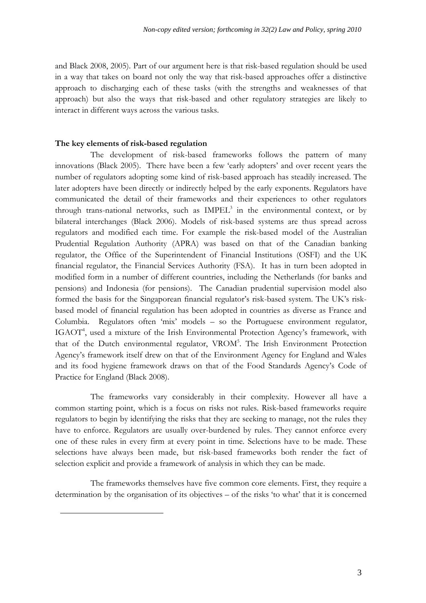and Black 2008, 2005). Part of our argument here is that risk-based regulation should be used in a way that takes on board not only the way that risk-based approaches offer a distinctive approach to discharging each of these tasks (with the strengths and weaknesses of that approach) but also the ways that risk-based and other regulatory strategies are likely to interact in different ways across the various tasks.

#### **The key elements of risk-based regulation**

 $\overline{a}$ 

The development of risk-based frameworks follows the pattern of many innovations (Black 2005). There have been a few 'early adopters' and over recent years the number of regulators adopting some kind of risk-based approach has steadily increased. The later adopters have been directly or indirectly helped by the early exponents. Regulators have communicated the detail of their frameworks and their experiences to other regulators through trans-national networks, such as  $IMPEL<sup>3</sup>$  in the environmental context, or by bilateral interchanges (Black 2006). Models of risk-based systems are thus spread across regulators and modified each time. For example the risk-based model of the Australian Prudential Regulation Authority (APRA) was based on that of the Canadian banking regulator, the Office of the Superintendent of Financial Institutions (OSFI) and the UK financial regulator, the Financial Services Authority (FSA). It has in turn been adopted in modified form in a number of different countries, including the Netherlands (for banks and pensions) and Indonesia (for pensions). The Canadian prudential supervision model also formed the basis for the Singaporean financial regulator's risk-based system. The UK's riskbased model of financial regulation has been adopted in countries as diverse as France and Columbia. Regulators often 'mix' models – so the Portuguese environment regulator, IGAOT<sup>4</sup>, used a mixture of the Irish Environmental Protection Agency's framework, with that of the Dutch environmental regulator, VROM<sup>5</sup>. The Irish Environment Protection Agency's framework itself drew on that of the Environment Agency for England and Wales and its food hygiene framework draws on that of the Food Standards Agency's Code of Practice for England (Black 2008).

The frameworks vary considerably in their complexity. However all have a common starting point, which is a focus on risks not rules. Risk-based frameworks require regulators to begin by identifying the risks that they are seeking to manage, not the rules they have to enforce. Regulators are usually over-burdened by rules. They cannot enforce every one of these rules in every firm at every point in time. Selections have to be made. These selections have always been made, but risk-based frameworks both render the fact of selection explicit and provide a framework of analysis in which they can be made.

The frameworks themselves have five common core elements. First, they require a determination by the organisation of its objectives – of the risks 'to what' that it is concerned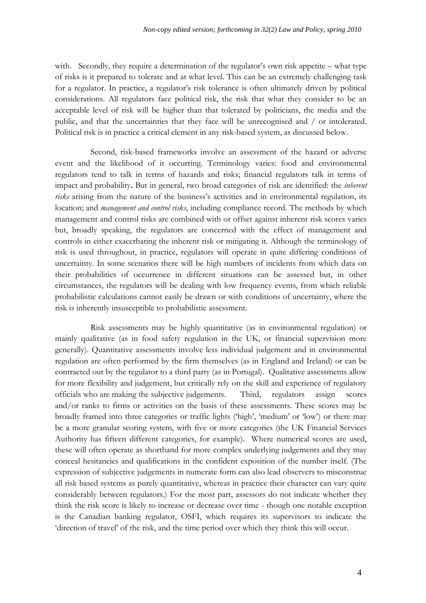with. Secondly, they require a determination of the regulator's own risk appetite – what type of risks is it prepared to tolerate and at what level. This can be an extremely challenging task for a regulator. In practice, a regulator's risk tolerance is often ultimately driven by political considerations. All regulators face political risk, the risk that what they consider to be an acceptable level of risk will be higher than that tolerated by politicians, the media and the public, and that the uncertainties that they face will be unrecognised and / or intolerated. Political risk is in practice a critical element in any risk-based system, as discussed below.

Second, risk-based frameworks involve an assessment of the hazard or adverse event and the likelihood of it occurring. Terminology varies: food and environmental regulators tend to talk in terms of hazards and risks; financial regulators talk in terms of impact and probability**.** But in general, two broad categories of risk are identified: the *inherent risks* arising from the nature of the business's activities and in environmental regulation, its location; and *management and control risks*, including compliance record. The methods by which management and control risks are combined with or offset against inherent risk scores varies but, broadly speaking, the regulators are concerned with the effect of management and controls in either exacerbating the inherent risk or mitigating it. Although the terminology of risk is used throughout, in practice, regulators will operate in quite differing conditions of uncertainty. In some scenarios there will be high numbers of incidents from which data on their probabilities of occurrence in different situations can be assessed but, in other circumstances, the regulators will be dealing with low frequency events, from which reliable probabilistic calculations cannot easily be drawn or with conditions of uncertainty, where the risk is inherently insusceptible to probabilistic assessment.

Risk assessments may be highly quantitative (as in environmental regulation) or mainly qualitative (as in food safety regulation in the UK, or financial supervision more generally). Quantitative assessments involve less individual judgement and in environmental regulation are often performed by the firm themselves (as in England and Ireland) or can be contracted out by the regulator to a third party (as in Portugal). Qualitative assessments allow for more flexibility and judgement, but critically rely on the skill and experience of regulatory officials who are making the subjective judgements. Third, regulators assign scores and/or ranks to firms or activities on the basis of these assessments. These scores may be broadly framed into three categories or traffic lights ('high', 'medium' or 'low') or there may be a more granular scoring system, with five or more categories (the UK Financial Services Authority has fifteen different categories, for example). Where numerical scores are used, these will often operate as shorthand for more complex underlying judgements and they may conceal hesitancies and qualifications in the confident exposition of the number itself. (The expression of subjective judgements in numerate form can also lead observers to misconstrue all risk based systems as purely quantitative, whereas in practice their character can vary quite considerably between regulators.) For the most part, assessors do not indicate whether they think the risk score is likely to increase or decrease over time - though one notable exception is the Canadian banking regulator, OSFI, which requires its supervisors to indicate the 'direction of travel' of the risk, and the time period over which they think this will occur.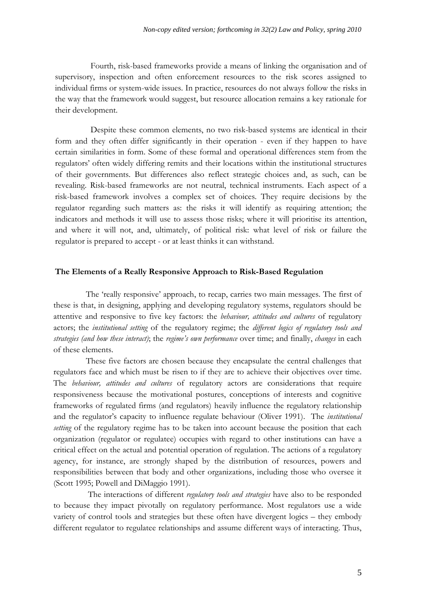Fourth, risk-based frameworks provide a means of linking the organisation and of supervisory, inspection and often enforcement resources to the risk scores assigned to individual firms or system-wide issues. In practice, resources do not always follow the risks in the way that the framework would suggest, but resource allocation remains a key rationale for their development.

Despite these common elements, no two risk-based systems are identical in their form and they often differ significantly in their operation - even if they happen to have certain similarities in form. Some of these formal and operational differences stem from the regulators' often widely differing remits and their locations within the institutional structures of their governments. But differences also reflect strategic choices and, as such, can be revealing. Risk-based frameworks are not neutral, technical instruments. Each aspect of a risk-based framework involves a complex set of choices. They require decisions by the regulator regarding such matters as: the risks it will identify as requiring attention; the indicators and methods it will use to assess those risks; where it will prioritise its attention, and where it will not, and, ultimately, of political risk: what level of risk or failure the regulator is prepared to accept - or at least thinks it can withstand.

#### **The Elements of a Really Responsive Approach to Risk-Based Regulation**

The 'really responsive' approach, to recap, carries two main messages. The first of these is that, in designing, applying and developing regulatory systems, regulators should be attentive and responsive to five key factors: the *behaviour, attitudes and cultures* of regulatory actors; the *institutional setting* of the regulatory regime; the *different logics of regulatory tools and strategies (and how these interact)*; the *regime's own performance* over time; and finally, *changes* in each of these elements.

These five factors are chosen because they encapsulate the central challenges that regulators face and which must be risen to if they are to achieve their objectives over time. The *behaviour, attitudes and cultures* of regulatory actors are considerations that require responsiveness because the motivational postures, conceptions of interests and cognitive frameworks of regulated firms (and regulators) heavily influence the regulatory relationship and the regulator's capacity to influence regulate behaviour (Oliver 1991). The *institutional setting* of the regulatory regime has to be taken into account because the position that each organization (regulator or regulatee) occupies with regard to other institutions can have a critical effect on the actual and potential operation of regulation. The actions of a regulatory agency, for instance, are strongly shaped by the distribution of resources, powers and responsibilities between that body and other organizations, including those who oversee it (Scott 1995; Powell and DiMaggio 1991).

The interactions of different *regulatory tools and strategies* have also to be responded to because they impact pivotally on regulatory performance. Most regulators use a wide variety of control tools and strategies but these often have divergent logics – they embody different regulator to regulatee relationships and assume different ways of interacting. Thus,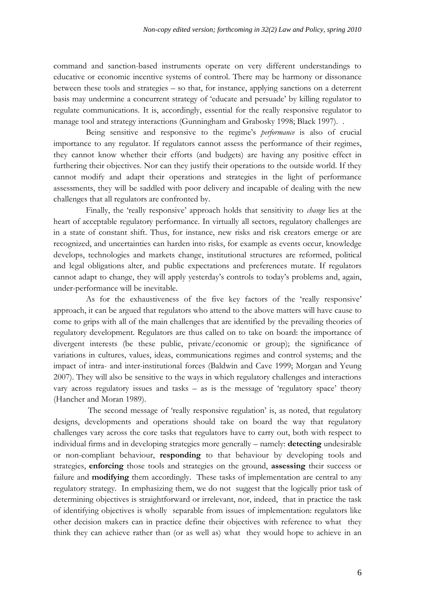command and sanction-based instruments operate on very different understandings to educative or economic incentive systems of control. There may be harmony or dissonance between these tools and strategies – so that, for instance, applying sanctions on a deterrent basis may undermine a concurrent strategy of 'educate and persuade' by killing regulator to regulate communications. It is, accordingly, essential for the really responsive regulator to manage tool and strategy interactions (Gunningham and Grabosky 1998; Black 1997). .

Being sensitive and responsive to the regime's *performance* is also of crucial importance to any regulator. If regulators cannot assess the performance of their regimes, they cannot know whether their efforts (and budgets) are having any positive effect in furthering their objectives. Nor can they justify their operations to the outside world. If they cannot modify and adapt their operations and strategies in the light of performance assessments, they will be saddled with poor delivery and incapable of dealing with the new challenges that all regulators are confronted by.

Finally, the 'really responsive' approach holds that sensitivity to *change* lies at the heart of acceptable regulatory performance. In virtually all sectors, regulatory challenges are in a state of constant shift. Thus, for instance, new risks and risk creators emerge or are recognized, and uncertainties can harden into risks, for example as events occur, knowledge develops, technologies and markets change, institutional structures are reformed, political and legal obligations alter, and public expectations and preferences mutate. If regulators cannot adapt to change, they will apply yesterday's controls to today's problems and, again, under-performance will be inevitable.

As for the exhaustiveness of the five key factors of the 'really responsive' approach, it can be argued that regulators who attend to the above matters will have cause to come to grips with all of the main challenges that are identified by the prevailing theories of regulatory development. Regulators are thus called on to take on board: the importance of divergent interests (be these public, private/economic or group); the significance of variations in cultures, values, ideas, communications regimes and control systems; and the impact of intra- and inter-institutional forces (Baldwin and Cave 1999; Morgan and Yeung 2007). They will also be sensitive to the ways in which regulatory challenges and interactions vary across regulatory issues and tasks – as is the message of 'regulatory space' theory (Hancher and Moran 1989).

The second message of 'really responsive regulation' is, as noted, that regulatory designs, developments and operations should take on board the way that regulatory challenges vary across the core tasks that regulators have to carry out, both with respect to individual firms and in developing strategies more generally – namely: **detecting** undesirable or non-compliant behaviour, **responding** to that behaviour by developing tools and strategies, **enforcing** those tools and strategies on the ground, **assessing** their success or failure and **modifying** them accordingly. These tasks of implementation are central to any regulatory strategy. In emphasizing them, we do not suggest that the logically prior task of determining objectives is straightforward or irrelevant, nor, indeed, that in practice the task of identifying objectives is wholly separable from issues of implementation: regulators like other decision makers can in practice define their objectives with reference to what they think they can achieve rather than (or as well as) what they would hope to achieve in an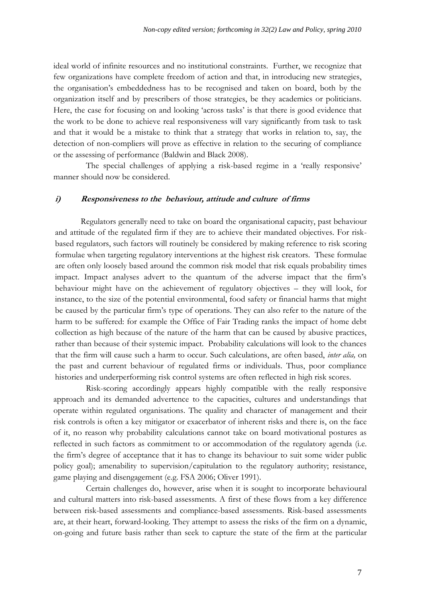ideal world of infinite resources and no institutional constraints. Further, we recognize that few organizations have complete freedom of action and that, in introducing new strategies, the organisation's embeddedness has to be recognised and taken on board, both by the organization itself and by prescribers of those strategies, be they academics or politicians. Here, the case for focusing on and looking 'across tasks' is that there is good evidence that the work to be done to achieve real responsiveness will vary significantly from task to task and that it would be a mistake to think that a strategy that works in relation to, say, the detection of non-compliers will prove as effective in relation to the securing of compliance or the assessing of performance (Baldwin and Black 2008).

The special challenges of applying a risk-based regime in a 'really responsive' manner should now be considered.

#### **i) Responsiveness to the behaviour, attitude and culture of firms**

Regulators generally need to take on board the organisational capacity, past behaviour and attitude of the regulated firm if they are to achieve their mandated objectives. For riskbased regulators, such factors will routinely be considered by making reference to risk scoring formulae when targeting regulatory interventions at the highest risk creators. These formulae are often only loosely based around the common risk model that risk equals probability times impact. Impact analyses advert to the quantum of the adverse impact that the firm's behaviour might have on the achievement of regulatory objectives – they will look, for instance, to the size of the potential environmental, food safety or financial harms that might be caused by the particular firm's type of operations. They can also refer to the nature of the harm to be suffered: for example the Office of Fair Trading ranks the impact of home debt collection as high because of the nature of the harm that can be caused by abusive practices, rather than because of their systemic impact. Probability calculations will look to the chances that the firm will cause such a harm to occur. Such calculations, are often based, *inter alia,* on the past and current behaviour of regulated firms or individuals. Thus, poor compliance histories and underperforming risk control systems are often reflected in high risk scores.

 Risk-scoring accordingly appears highly compatible with the really responsive approach and its demanded advertence to the capacities, cultures and understandings that operate within regulated organisations. The quality and character of management and their risk controls is often a key mitigator or exacerbator of inherent risks and there is, on the face of it, no reason why probability calculations cannot take on board motivational postures as reflected in such factors as commitment to or accommodation of the regulatory agenda (i.e. the firm's degree of acceptance that it has to change its behaviour to suit some wider public policy goal); amenability to supervision/capitulation to the regulatory authority; resistance, game playing and disengagement (e.g. FSA 2006; Oliver 1991).

Certain challenges do, however, arise when it is sought to incorporate behavioural and cultural matters into risk-based assessments. A first of these flows from a key difference between risk-based assessments and compliance-based assessments. Risk-based assessments are, at their heart, forward-looking. They attempt to assess the risks of the firm on a dynamic, on-going and future basis rather than seek to capture the state of the firm at the particular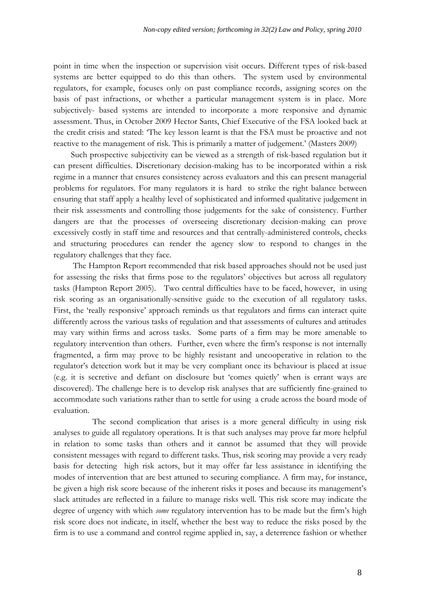point in time when the inspection or supervision visit occurs. Different types of risk-based systems are better equipped to do this than others. The system used by environmental regulators, for example, focuses only on past compliance records, assigning scores on the basis of past infractions, or whether a particular management system is in place. More subjectively- based systems are intended to incorporate a more responsive and dynamic assessment. Thus, in October 2009 Hector Sants, Chief Executive of the FSA looked back at the credit crisis and stated: 'The key lesson learnt is that the FSA must be proactive and not reactive to the management of risk. This is primarily a matter of judgement.' (Masters 2009)

 Such prospective subjectivity can be viewed as a strength of risk-based regulation but it can present difficulties. Discretionary decision-making has to be incorporated within a risk regime in a manner that ensures consistency across evaluators and this can present managerial problems for regulators. For many regulators it is hard to strike the right balance between ensuring that staff apply a healthy level of sophisticated and informed qualitative judgement in their risk assessments and controlling those judgements for the sake of consistency. Further dangers are that the processes of overseeing discretionary decision-making can prove excessively costly in staff time and resources and that centrally-administered controls, checks and structuring procedures can render the agency slow to respond to changes in the regulatory challenges that they face.

 The Hampton Report recommended that risk based approaches should not be used just for assessing the risks that firms pose to the regulators' objectives but across all regulatory tasks (Hampton Report 2005). Two central difficulties have to be faced, however, in using risk scoring as an organisationally-sensitive guide to the execution of all regulatory tasks. First, the 'really responsive' approach reminds us that regulators and firms can interact quite differently across the various tasks of regulation and that assessments of cultures and attitudes may vary within firms and across tasks. Some parts of a firm may be more amenable to regulatory intervention than others. Further, even where the firm's response is not internally fragmented, a firm may prove to be highly resistant and uncooperative in relation to the regulator's detection work but it may be very compliant once its behaviour is placed at issue (e.g. it is secretive and defiant on disclosure but 'comes quietly' when is errant ways are discovered). The challenge here is to develop risk analyses that are sufficiently fine-grained to accommodate such variations rather than to settle for using a crude across the board mode of evaluation.

The second complication that arises is a more general difficulty in using risk analyses to guide all regulatory operations. It is that such analyses may prove far more helpful in relation to some tasks than others and it cannot be assumed that they will provide consistent messages with regard to different tasks. Thus, risk scoring may provide a very ready basis for detecting high risk actors, but it may offer far less assistance in identifying the modes of intervention that are best attuned to securing compliance. A firm may, for instance, be given a high risk score because of the inherent risks it poses and because its management's slack attitudes are reflected in a failure to manage risks well. This risk score may indicate the degree of urgency with which *some* regulatory intervention has to be made but the firm's high risk score does not indicate, in itself, whether the best way to reduce the risks posed by the firm is to use a command and control regime applied in, say, a deterrence fashion or whether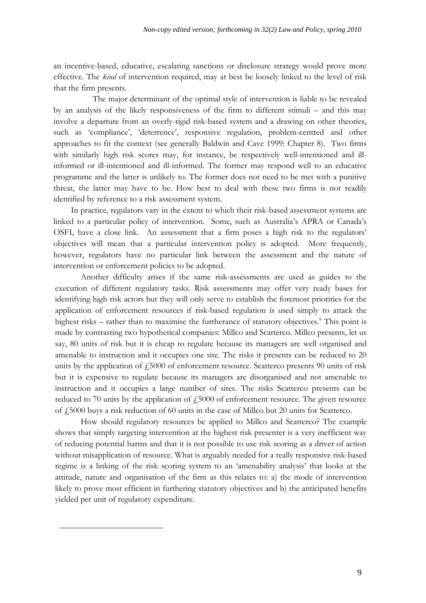an incentive-based, educative, escalating sanctions or disclosure strategy would prove more effective. The *kind* of intervention required, may at best be loosely linked to the level of risk that the firm presents.

The major determinant of the optimal style of intervention is liable to be revealed by an analysis of the likely responsiveness of the firm to different stimuli – and this may involve a departure from an overly-rigid risk-based system and a drawing on other theories, such as 'compliance', 'deterrence', responsive regulation, problem-centred and other approaches to fit the context (see generally Baldwin and Cave 1999: Chapter 8). Two firms with similarly high risk scores may, for instance, be respectively well-intentioned and illinformed or ill-intentioned and ill-informed. The former may respond well to an educative programme and the latter is unlikely to. The former does not need to be met with a punitive threat, the latter may have to be. How best to deal with these two firms is not readily identified by reference to a risk assessment system.

 In practice, regulators vary in the extent to which their risk-based assessment systems are linked to a particular policy of intervention. Some, such as Australia's APRA or Canada's OSFI, have a close link. An assessment that a firm poses a high risk to the regulators' objectives will mean that a particular intervention policy is adopted. More frequently, however, regulators have no particular link between the assessment and the nature of intervention or enforcement policies to be adopted.

Another difficulty arises if the same risk-assessments are used as guides to the execution of different regulatory tasks. Risk assessments may offer very ready bases for identifying high risk actors but they will only serve to establish the foremost priorities for the application of enforcement resources if risk-based regulation is used simply to attack the highest risks – rather than to maximise the furtherance of statutory objectives.<sup>6</sup> This point is made by contrasting two hypothetical companies: Millco and Scatterco. Millco presents, let us say, 80 units of risk but it is cheap to regulate because its managers are well organised and amenable to instruction and it occupies one site. The risks it presents can be reduced to 20 units by the application of  $f_{15000}$  of enforcement resource. Scatterco presents 90 units of risk but it is expensive to regulate because its managers are disorganised and not amenable to instruction and it occupies a large number of sites. The risks Scatterco presents can be reduced to 70 units by the application of  $f_{5000}$  of enforcement resource. The given resource of £5000 buys a risk reduction of 60 units in the case of Millco but 20 units for Scatterco.

How should regulatory resources be applied to Millco and Scatterco? The example shows that simply targeting intervention at the highest risk presenter is a very inefficient way of reducing potential harms and that it is not possible to use risk scoring as a driver of action without misapplication of resource. What is arguably needed for a really responsive risk-based regime is a linking of the risk scoring system to an 'amenability analysis' that looks at the attitude, nature and organisation of the firm as this relates to: a) the mode of intervention likely to prove most efficient in furthering statutory objectives and b) the anticipated benefits yielded per unit of regulatory expenditure.

 $\overline{a}$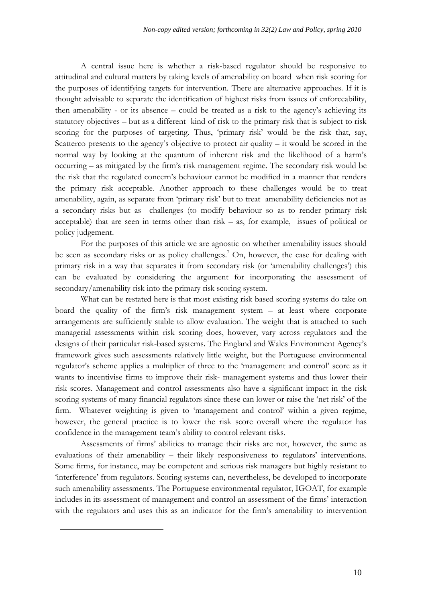A central issue here is whether a risk-based regulator should be responsive to attitudinal and cultural matters by taking levels of amenability on board when risk scoring for the purposes of identifying targets for intervention. There are alternative approaches. If it is thought advisable to separate the identification of highest risks from issues of enforceability, then amenability - or its absence – could be treated as a risk to the agency's achieving its statutory objectives – but as a different kind of risk to the primary risk that is subject to risk scoring for the purposes of targeting. Thus, 'primary risk' would be the risk that, say, Scatterco presents to the agency's objective to protect air quality – it would be scored in the normal way by looking at the quantum of inherent risk and the likelihood of a harm's occurring – as mitigated by the firm's risk management regime. The secondary risk would be the risk that the regulated concern's behaviour cannot be modified in a manner that renders the primary risk acceptable. Another approach to these challenges would be to treat amenability, again, as separate from 'primary risk' but to treat amenability deficiencies not as a secondary risks but as challenges (to modify behaviour so as to render primary risk acceptable) that are seen in terms other than risk – as, for example, issues of political or policy judgement.

For the purposes of this article we are agnostic on whether amenability issues should be seen as secondary risks or as policy challenges.<sup>7</sup> On, however, the case for dealing with primary risk in a way that separates it from secondary risk (or 'amenability challenges') this can be evaluated by considering the argument for incorporating the assessment of secondary/amenability risk into the primary risk scoring system.

What can be restated here is that most existing risk based scoring systems do take on board the quality of the firm's risk management system – at least where corporate arrangements are sufficiently stable to allow evaluation. The weight that is attached to such managerial assessments within risk scoring does, however, vary across regulators and the designs of their particular risk-based systems. The England and Wales Environment Agency's framework gives such assessments relatively little weight, but the Portuguese environmental regulator's scheme applies a multiplier of three to the 'management and control' score as it wants to incentivise firms to improve their risk- management systems and thus lower their risk scores. Management and control assessments also have a significant impact in the risk scoring systems of many financial regulators since these can lower or raise the 'net risk' of the firm. Whatever weighting is given to 'management and control' within a given regime, however, the general practice is to lower the risk score overall where the regulator has confidence in the management team's ability to control relevant risks.

Assessments of firms' abilities to manage their risks are not, however, the same as evaluations of their amenability – their likely responsiveness to regulators' interventions. Some firms, for instance, may be competent and serious risk managers but highly resistant to 'interference' from regulators. Scoring systems can, nevertheless, be developed to incorporate such amenability assessments. The Portuguese environmental regulator, IGOAT, for example includes in its assessment of management and control an assessment of the firms' interaction with the regulators and uses this as an indicator for the firm's amenability to intervention

 $\overline{a}$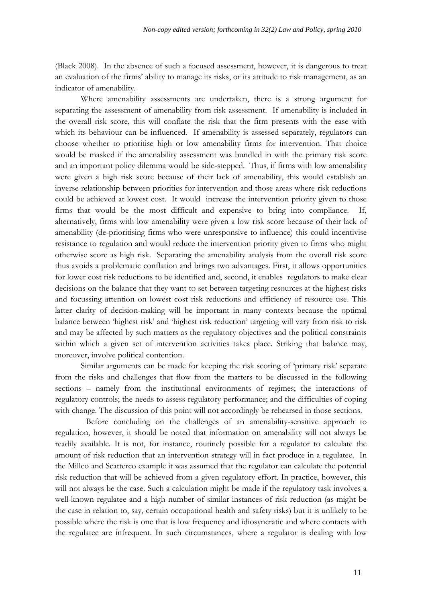(Black 2008). In the absence of such a focused assessment, however, it is dangerous to treat an evaluation of the firms' ability to manage its risks, or its attitude to risk management, as an indicator of amenability.

Where amenability assessments are undertaken, there is a strong argument for separating the assessment of amenability from risk assessment. If amenability is included in the overall risk score, this will conflate the risk that the firm presents with the ease with which its behaviour can be influenced. If amenability is assessed separately, regulators can choose whether to prioritise high or low amenability firms for intervention. That choice would be masked if the amenability assessment was bundled in with the primary risk score and an important policy dilemma would be side-stepped. Thus, if firms with low amenability were given a high risk score because of their lack of amenability, this would establish an inverse relationship between priorities for intervention and those areas where risk reductions could be achieved at lowest cost. It would increase the intervention priority given to those firms that would be the most difficult and expensive to bring into compliance. If, alternatively, firms with low amenability were given a low risk score because of their lack of amenability (de-prioritising firms who were unresponsive to influence) this could incentivise resistance to regulation and would reduce the intervention priority given to firms who might otherwise score as high risk. Separating the amenability analysis from the overall risk score thus avoids a problematic conflation and brings two advantages. First, it allows opportunities for lower cost risk reductions to be identified and, second, it enables regulators to make clear decisions on the balance that they want to set between targeting resources at the highest risks and focussing attention on lowest cost risk reductions and efficiency of resource use. This latter clarity of decision-making will be important in many contexts because the optimal balance between 'highest risk' and 'highest risk reduction' targeting will vary from risk to risk and may be affected by such matters as the regulatory objectives and the political constraints within which a given set of intervention activities takes place. Striking that balance may, moreover, involve political contention.

Similar arguments can be made for keeping the risk scoring of 'primary risk' separate from the risks and challenges that flow from the matters to be discussed in the following sections – namely from the institutional environments of regimes; the interactions of regulatory controls; the needs to assess regulatory performance; and the difficulties of coping with change. The discussion of this point will not accordingly be rehearsed in those sections.

Before concluding on the challenges of an amenability-sensitive approach to regulation, however, it should be noted that information on amenability will not always be readily available. It is not, for instance, routinely possible for a regulator to calculate the amount of risk reduction that an intervention strategy will in fact produce in a regulatee. In the Millco and Scatterco example it was assumed that the regulator can calculate the potential risk reduction that will be achieved from a given regulatory effort. In practice, however, this will not always be the case. Such a calculation might be made if the regulatory task involves a well-known regulatee and a high number of similar instances of risk reduction (as might be the case in relation to, say, certain occupational health and safety risks) but it is unlikely to be possible where the risk is one that is low frequency and idiosyncratic and where contacts with the regulatee are infrequent. In such circumstances, where a regulator is dealing with low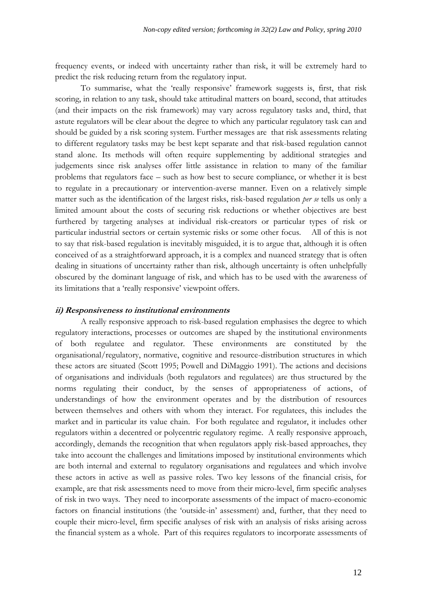frequency events, or indeed with uncertainty rather than risk, it will be extremely hard to predict the risk reducing return from the regulatory input.

To summarise, what the 'really responsive' framework suggests is, first, that risk scoring, in relation to any task, should take attitudinal matters on board, second, that attitudes (and their impacts on the risk framework) may vary across regulatory tasks and, third, that astute regulators will be clear about the degree to which any particular regulatory task can and should be guided by a risk scoring system. Further messages are that risk assessments relating to different regulatory tasks may be best kept separate and that risk-based regulation cannot stand alone. Its methods will often require supplementing by additional strategies and judgements since risk analyses offer little assistance in relation to many of the familiar problems that regulators face – such as how best to secure compliance, or whether it is best to regulate in a precautionary or intervention-averse manner. Even on a relatively simple matter such as the identification of the largest risks, risk-based regulation *per se* tells us only a limited amount about the costs of securing risk reductions or whether objectives are best furthered by targeting analyses at individual risk-creators or particular types of risk or particular industrial sectors or certain systemic risks or some other focus. All of this is not to say that risk-based regulation is inevitably misguided, it is to argue that, although it is often conceived of as a straightforward approach, it is a complex and nuanced strategy that is often dealing in situations of uncertainty rather than risk, although uncertainty is often unhelpfully obscured by the dominant language of risk, and which has to be used with the awareness of its limitations that a 'really responsive' viewpoint offers.

#### **ii) Responsiveness to institutional environments**

A really responsive approach to risk-based regulation emphasises the degree to which regulatory interactions, processes or outcomes are shaped by the institutional environments of both regulatee and regulator. These environments are constituted by the organisational/regulatory, normative, cognitive and resource-distribution structures in which these actors are situated (Scott 1995; Powell and DiMaggio 1991). The actions and decisions of organisations and individuals (both regulators and regulatees) are thus structured by the norms regulating their conduct, by the senses of appropriateness of actions, of understandings of how the environment operates and by the distribution of resources between themselves and others with whom they interact. For regulatees, this includes the market and in particular its value chain. For both regulatee and regulator, it includes other regulators within a decentred or polycentric regulatory regime. A really responsive approach, accordingly, demands the recognition that when regulators apply risk-based approaches, they take into account the challenges and limitations imposed by institutional environments which are both internal and external to regulatory organisations and regulatees and which involve these actors in active as well as passive roles. Two key lessons of the financial crisis, for example, are that risk assessments need to move from their micro-level, firm specific analyses of risk in two ways. They need to incorporate assessments of the impact of macro-economic factors on financial institutions (the 'outside-in' assessment) and, further, that they need to couple their micro-level, firm specific analyses of risk with an analysis of risks arising across the financial system as a whole. Part of this requires regulators to incorporate assessments of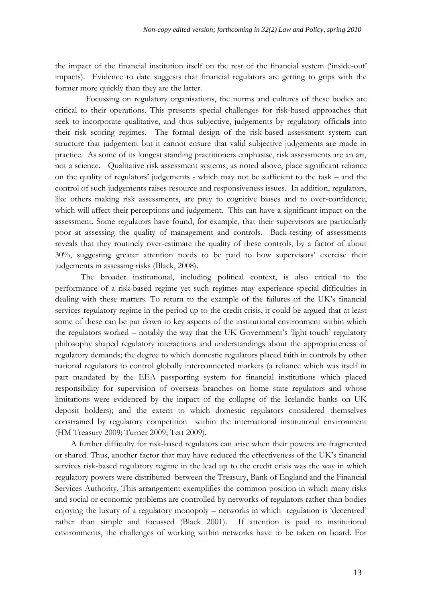the impact of the financial institution itself on the rest of the financial system ('inside-out' impacts). Evidence to date suggests that financial regulators are getting to grips with the former more quickly than they are the latter.

Focussing on regulatory organisations, the norms and cultures of these bodies are critical to their operations. This presents special challenges for risk-based approaches that seek to incorporate qualitative, and thus subjective, judgements by regulatory official**s** into their risk scoring regimes. The formal design of the risk-based assessment system can structure that judgement but it cannot ensure that valid subjective judgements are made in practice. As some of its longest standing practitioners emphasise, risk assessments are an art, not a science. Qualitative risk assessment systems, as noted above, place significant reliance on the quality of regulators' judgements - which may not be sufficient to the task – and the control of such judgements raises resource and responsiveness issues. In addition, regulators, like others making risk assessments, are prey to cognitive biases and to over-confidence, which will affect their perceptions and judgement. This can have a significant impact on the assessment. Some regulators have found, for example, that their supervisors are particularly poor at assessing the quality of management and controls. Back-testing of assessments reveals that they routinely over-estimate the quality of these controls, by a factor of about 30%, suggesting greater attention needs to be paid to how supervisors' exercise their judgements in assessing risks (Black, 2008).

The broader institutional, including political context, is also critical to the performance of a risk-based regime yet such regimes may experience special difficulties in dealing with these matters. To return to the example of the failures of the UK's financial services regulatory regime in the period up to the credit crisis, it could be argued that at least some of these can be put down to key aspects of the institutional environment within which the regulators worked – notably the way that the UK Government's 'light touch' regulatory philosophy shaped regulatory interactions and understandings about the appropriateness of regulatory demands; the degree to which domestic regulators placed faith in controls by other national regulators to control globally interconnected markets (a reliance which was itself in part mandated by the EEA passporting system for financial institutions which placed responsibility for supervision of overseas branches on home state regulators and whose limitations were evidenced by the impact of the collapse of the Icelandic banks on UK deposit holders); and the extent to which domestic regulators considered themselves constrained by regulatory competition within the international institutional environment (HM Treasury 2009; Turner 2009; Tett 2009).

 A further difficulty for risk-based regulators can arise when their powers are fragmented or shared. Thus, another factor that may have reduced the effectiveness of the UK's financial services risk-based regulatory regime in the lead up to the credit crisis was the way in which regulatory powers were distributed between the Treasury, Bank of England and the Financial Services Authority. This arrangement exemplifies the common position in which many risks and social or economic problems are controlled by networks of regulators rather than bodies enjoying the luxury of a regulatory monopoly – networks in which regulation is 'decentred' rather than simple and focussed (Black 2001). If attention is paid to institutional environments, the challenges of working within networks have to be taken on board. For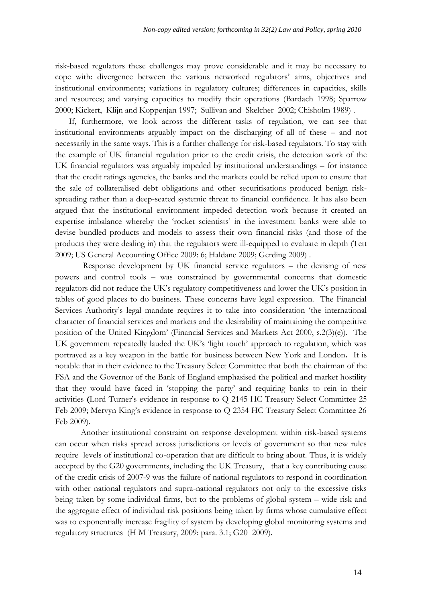risk-based regulators these challenges may prove considerable and it may be necessary to cope with: divergence between the various networked regulators' aims, objectives and institutional environments; variations in regulatory cultures; differences in capacities, skills and resources; and varying capacities to modify their operations (Bardach 1998; Sparrow 2000; Kickert, Klijn and Koppenjan 1997; Sullivan and Skelcher 2002; Chisholm 1989) .

 If, furthermore, we look across the different tasks of regulation, we can see that institutional environments arguably impact on the discharging of all of these – and not necessarily in the same ways. This is a further challenge for risk-based regulators. To stay with the example of UK financial regulation prior to the credit crisis, the detection work of the UK financial regulators was arguably impeded by institutional understandings – for instance that the credit ratings agencies, the banks and the markets could be relied upon to ensure that the sale of collateralised debt obligations and other securitisations produced benign riskspreading rather than a deep-seated systemic threat to financial confidence. It has also been argued that the institutional environment impeded detection work because it created an expertise imbalance whereby the 'rocket scientists' in the investment banks were able to devise bundled products and models to assess their own financial risks (and those of the products they were dealing in) that the regulators were ill-equipped to evaluate in depth (Tett 2009; US General Accounting Office 2009: 6; Haldane 2009; Gerding 2009) .

Response development by UK financial service regulators – the devising of new powers and control tools – was constrained by governmental concerns that domestic regulators did not reduce the UK's regulatory competitiveness and lower the UK's position in tables of good places to do business. These concerns have legal expression. The Financial Services Authority's legal mandate requires it to take into consideration 'the international character of financial services and markets and the desirability of maintaining the competitive position of the United Kingdom' (Financial Services and Markets Act 2000, s.2(3)(e)). The UK government repeatedly lauded the UK's 'light touch' approach to regulation, which was portrayed as a key weapon in the battle for business between New York and London**.** It is notable that in their evidence to the Treasury Select Committee that both the chairman of the FSA and the Governor of the Bank of England emphasised the political and market hostility that they would have faced in 'stopping the party' and requiring banks to rein in their activities **(**Lord Turner's evidence in response to Q 2145 HC Treasury Select Committee 25 Feb 2009; Mervyn King's evidence in response to Q 2354 HC Treasury Select Committee 26 Feb 2009).

Another institutional constraint on response development within risk-based systems can occur when risks spread across jurisdictions or levels of government so that new rules require levels of institutional co-operation that are difficult to bring about. Thus, it is widely accepted by the G20 governments, including the UK Treasury, that a key contributing cause of the credit crisis of 2007-9 was the failure of national regulators to respond in coordination with other national regulators and supra-national regulators not only to the excessive risks being taken by some individual firms, but to the problems of global system – wide risk and the aggregate effect of individual risk positions being taken by firms whose cumulative effect was to exponentially increase fragility of system by developing global monitoring systems and regulatory structures (H M Treasury, 2009: para. 3.1; G20 2009).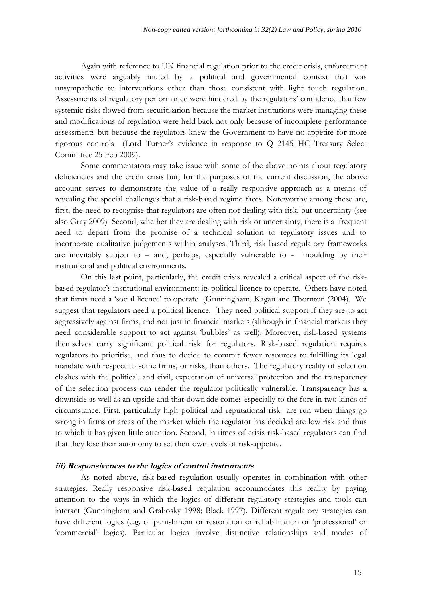Again with reference to UK financial regulation prior to the credit crisis, enforcement activities were arguably muted by a political and governmental context that was unsympathetic to interventions other than those consistent with light touch regulation. Assessments of regulatory performance were hindered by the regulators' confidence that few systemic risks flowed from securitisation because the market institutions were managing these and modifications of regulation were held back not only because of incomplete performance assessments but because the regulators knew the Government to have no appetite for more rigorous controls (Lord Turner's evidence in response to Q 2145 HC Treasury Select Committee 25 Feb 2009).

Some commentators may take issue with some of the above points about regulatory deficiencies and the credit crisis but, for the purposes of the current discussion, the above account serves to demonstrate the value of a really responsive approach as a means of revealing the special challenges that a risk-based regime faces. Noteworthy among these are, first, the need to recognise that regulators are often not dealing with risk, but uncertainty (see also Gray 2009) Second, whether they are dealing with risk or uncertainty, there is a frequent need to depart from the promise of a technical solution to regulatory issues and to incorporate qualitative judgements within analyses. Third, risk based regulatory frameworks are inevitably subject to  $-$  and, perhaps, especially vulnerable to  $-$  moulding by their institutional and political environments.

On this last point, particularly, the credit crisis revealed a critical aspect of the riskbased regulator's institutional environment: its political licence to operate. Others have noted that firms need a 'social licence' to operate (Gunningham, Kagan and Thornton (2004). We suggest that regulators need a political licence. They need political support if they are to act aggressively against firms, and not just in financial markets (although in financial markets they need considerable support to act against 'bubbles' as well). Moreover, risk-based systems themselves carry significant political risk for regulators. Risk-based regulation requires regulators to prioritise, and thus to decide to commit fewer resources to fulfilling its legal mandate with respect to some firms, or risks, than others. The regulatory reality of selection clashes with the political, and civil, expectation of universal protection and the transparency of the selection process can render the regulator politically vulnerable. Transparency has a downside as well as an upside and that downside comes especially to the fore in two kinds of circumstance. First, particularly high political and reputational risk are run when things go wrong in firms or areas of the market which the regulator has decided are low risk and thus to which it has given little attention. Second, in times of crisis risk-based regulators can find that they lose their autonomy to set their own levels of risk-appetite.

#### **iii) Responsiveness to the logics of control instruments**

As noted above, risk-based regulation usually operates in combination with other strategies. Really responsive risk-based regulation accommodates this reality by paying attention to the ways in which the logics of different regulatory strategies and tools can interact (Gunningham and Grabosky 1998; Black 1997). Different regulatory strategies can have different logics (e.g. of punishment or restoration or rehabilitation or 'professional' or 'commercial' logics). Particular logics involve distinctive relationships and modes of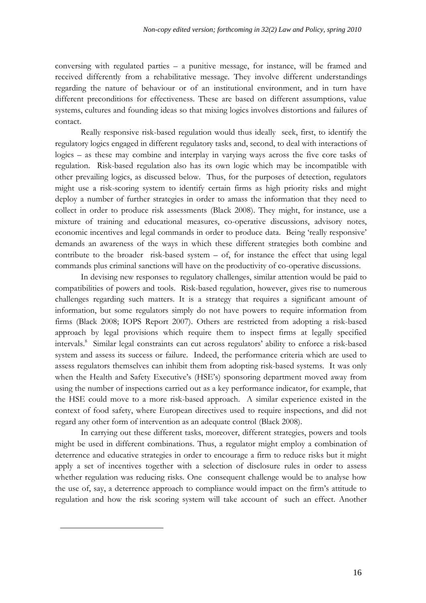conversing with regulated parties – a punitive message, for instance, will be framed and received differently from a rehabilitative message. They involve different understandings regarding the nature of behaviour or of an institutional environment, and in turn have different preconditions for effectiveness. These are based on different assumptions, value systems, cultures and founding ideas so that mixing logics involves distortions and failures of contact.

Really responsive risk-based regulation would thus ideally seek, first, to identify the regulatory logics engaged in different regulatory tasks and, second, to deal with interactions of logics – as these may combine and interplay in varying ways across the five core tasks of regulation. Risk-based regulation also has its own logic which may be incompatible with other prevailing logics, as discussed below. Thus, for the purposes of detection, regulators might use a risk-scoring system to identify certain firms as high priority risks and might deploy a number of further strategies in order to amass the information that they need to collect in order to produce risk assessments (Black 2008). They might, for instance, use a mixture of training and educational measures, co-operative discussions, advisory notes, economic incentives and legal commands in order to produce data. Being 'really responsive' demands an awareness of the ways in which these different strategies both combine and contribute to the broader risk-based system  $-$  of, for instance the effect that using legal commands plus criminal sanctions will have on the productivity of co-operative discussions.

In devising new responses to regulatory challenges, similar attention would be paid to compatibilities of powers and tools. Risk-based regulation, however, gives rise to numerous challenges regarding such matters. It is a strategy that requires a significant amount of information, but some regulators simply do not have powers to require information from firms (Black 2008; IOPS Report 2007). Others are restricted from adopting a risk-based approach by legal provisions which require them to inspect firms at legally specified intervals.<sup>8</sup> Similar legal constraints can cut across regulators' ability to enforce a risk-based system and assess its success or failure. Indeed, the performance criteria which are used to assess regulators themselves can inhibit them from adopting risk-based systems. It was only when the Health and Safety Executive's (HSE's) sponsoring department moved away from using the number of inspections carried out as a key performance indicator, for example, that the HSE could move to a more risk-based approach. A similar experience existed in the context of food safety, where European directives used to require inspections, and did not regard any other form of intervention as an adequate control (Black 2008).

In carrying out these different tasks, moreover, different strategies, powers and tools might be used in different combinations. Thus, a regulator might employ a combination of deterrence and educative strategies in order to encourage a firm to reduce risks but it might apply a set of incentives together with a selection of disclosure rules in order to assess whether regulation was reducing risks. One consequent challenge would be to analyse how the use of, say, a deterrence approach to compliance would impact on the firm's attitude to regulation and how the risk scoring system will take account of such an effect. Another

 $\overline{a}$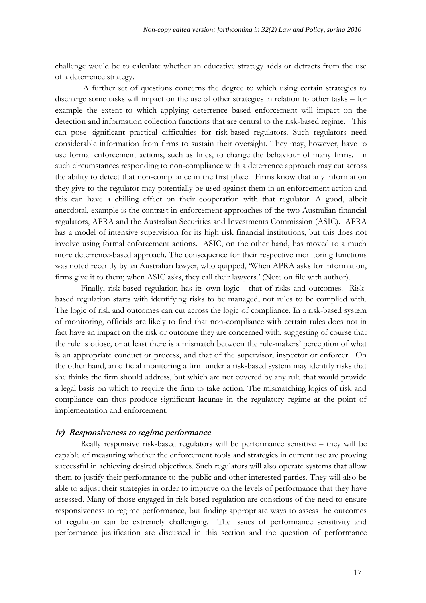challenge would be to calculate whether an educative strategy adds or detracts from the use of a deterrence strategy.

A further set of questions concerns the degree to which using certain strategies to discharge some tasks will impact on the use of other strategies in relation to other tasks – for example the extent to which applying deterrence–based enforcement will impact on the detection and information collection functions that are central to the risk-based regime. This can pose significant practical difficulties for risk-based regulators. Such regulators need considerable information from firms to sustain their oversight. They may, however, have to use formal enforcement actions, such as fines, to change the behaviour of many firms. In such circumstances responding to non-compliance with a deterrence approach may cut across the ability to detect that non-compliance in the first place. Firms know that any information they give to the regulator may potentially be used against them in an enforcement action and this can have a chilling effect on their cooperation with that regulator. A good, albeit anecdotal, example is the contrast in enforcement approaches of the two Australian financial regulators, APRA and the Australian Securities and Investments Commission (ASIC). APRA has a model of intensive supervision for its high risk financial institutions, but this does not involve using formal enforcement actions. ASIC, on the other hand, has moved to a much more deterrence-based approach. The consequence for their respective monitoring functions was noted recently by an Australian lawyer, who quipped, 'When APRA asks for information, firms give it to them; when ASIC asks, they call their lawyers.' (Note on file with author).

Finally, risk-based regulation has its own logic - that of risks and outcomes. Riskbased regulation starts with identifying risks to be managed, not rules to be complied with. The logic of risk and outcomes can cut across the logic of compliance. In a risk-based system of monitoring, officials are likely to find that non-compliance with certain rules does not in fact have an impact on the risk or outcome they are concerned with, suggesting of course that the rule is otiose, or at least there is a mismatch between the rule-makers' perception of what is an appropriate conduct or process, and that of the supervisor, inspector or enforcer. On the other hand, an official monitoring a firm under a risk-based system may identify risks that she thinks the firm should address, but which are not covered by any rule that would provide a legal basis on which to require the firm to take action. The mismatching logics of risk and compliance can thus produce significant lacunae in the regulatory regime at the point of implementation and enforcement.

#### **iv) Responsiveness to regime performance**

Really responsive risk-based regulators will be performance sensitive – they will be capable of measuring whether the enforcement tools and strategies in current use are proving successful in achieving desired objectives. Such regulators will also operate systems that allow them to justify their performance to the public and other interested parties. They will also be able to adjust their strategies in order to improve on the levels of performance that they have assessed. Many of those engaged in risk-based regulation are conscious of the need to ensure responsiveness to regime performance, but finding appropriate ways to assess the outcomes of regulation can be extremely challenging. The issues of performance sensitivity and performance justification are discussed in this section and the question of performance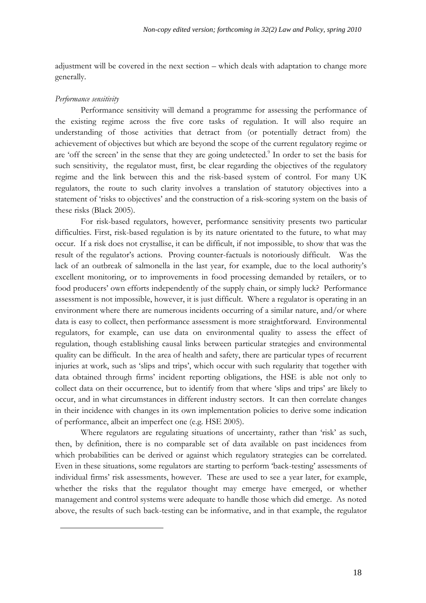adjustment will be covered in the next section – which deals with adaptation to change more generally.

#### *Performance sensitivity*

 $\overline{a}$ 

Performance sensitivity will demand a programme for assessing the performance of the existing regime across the five core tasks of regulation. It will also require an understanding of those activities that detract from (or potentially detract from) the achievement of objectives but which are beyond the scope of the current regulatory regime or are 'off the screen' in the sense that they are going undetected.<sup>9</sup> In order to set the basis for such sensitivity, the regulator must, first, be clear regarding the objectives of the regulatory regime and the link between this and the risk-based system of control. For many UK regulators, the route to such clarity involves a translation of statutory objectives into a statement of 'risks to objectives' and the construction of a risk-scoring system on the basis of these risks (Black 2005).

For risk-based regulators, however, performance sensitivity presents two particular difficulties. First, risk-based regulation is by its nature orientated to the future, to what may occur. If a risk does not crystallise, it can be difficult, if not impossible, to show that was the result of the regulator's actions. Proving counter-factuals is notoriously difficult. Was the lack of an outbreak of salmonella in the last year, for example, due to the local authority's excellent monitoring, or to improvements in food processing demanded by retailers, or to food producers' own efforts independently of the supply chain, or simply luck? Performance assessment is not impossible, however, it is just difficult. Where a regulator is operating in an environment where there are numerous incidents occurring of a similar nature, and/or where data is easy to collect, then performance assessment is more straightforward. Environmental regulators, for example, can use data on environmental quality to assess the effect of regulation, though establishing causal links between particular strategies and environmental quality can be difficult. In the area of health and safety, there are particular types of recurrent injuries at work, such as 'slips and trips', which occur with such regularity that together with data obtained through firms' incident reporting obligations, the HSE is able not only to collect data on their occurrence, but to identify from that where 'slips and trips' are likely to occur, and in what circumstances in different industry sectors. It can then correlate changes in their incidence with changes in its own implementation policies to derive some indication of performance, albeit an imperfect one (e.g. HSE 2005).

Where regulators are regulating situations of uncertainty, rather than 'risk' as such, then, by definition, there is no comparable set of data available on past incidences from which probabilities can be derived or against which regulatory strategies can be correlated. Even in these situations, some regulators are starting to perform 'back-testing' assessments of individual firms' risk assessments, however. These are used to see a year later, for example, whether the risks that the regulator thought may emerge have emerged, or whether management and control systems were adequate to handle those which did emerge. As noted above, the results of such back-testing can be informative, and in that example, the regulator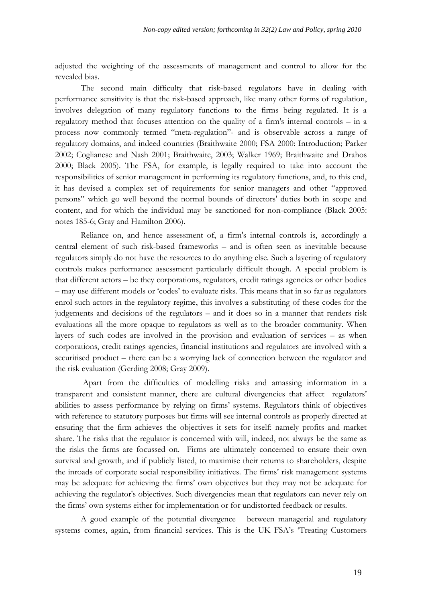adjusted the weighting of the assessments of management and control to allow for the revealed bias.

The second main difficulty that risk-based regulators have in dealing with performance sensitivity is that the risk-based approach, like many other forms of regulation, involves delegation of many regulatory functions to the firms being regulated. It is a regulatory method that focuses attention on the quality of a firm's internal controls – in a process now commonly termed "meta-regulation"- and is observable across a range of regulatory domains, and indeed countries (Braithwaite 2000; FSA 2000: Introduction; Parker 2002; Coglianese and Nash 2001; Braithwaite, 2003; Walker 1969; Braithwaite and Drahos 2000; Black 2005). The FSA, for example, is legally required to take into account the responsibilities of senior management in performing its regulatory functions, and, to this end, it has devised a complex set of requirements for senior managers and other "approved persons" which go well beyond the normal bounds of directors' duties both in scope and content, and for which the individual may be sanctioned for non-compliance (Black 2005: notes 185-6; Gray and Hamilton 2006).

Reliance on, and hence assessment of, a firm's internal controls is, accordingly a central element of such risk-based frameworks – and is often seen as inevitable because regulators simply do not have the resources to do anything else. Such a layering of regulatory controls makes performance assessment particularly difficult though. A special problem is that different actors – be they corporations, regulators, credit ratings agencies or other bodies – may use different models or 'codes' to evaluate risks. This means that in so far as regulators enrol such actors in the regulatory regime, this involves a substituting of these codes for the judgements and decisions of the regulators – and it does so in a manner that renders risk evaluations all the more opaque to regulators as well as to the broader community. When layers of such codes are involved in the provision and evaluation of services – as when corporations, credit ratings agencies, financial institutions and regulators are involved with a securitised product – there can be a worrying lack of connection between the regulator and the risk evaluation (Gerding 2008; Gray 2009).

Apart from the difficulties of modelling risks and amassing information in a transparent and consistent manner, there are cultural divergencies that affect regulators' abilities to assess performance by relying on firms' systems. Regulators think of objectives with reference to statutory purposes but firms will see internal controls as properly directed at ensuring that the firm achieves the objectives it sets for itself: namely profits and market share. The risks that the regulator is concerned with will, indeed, not always be the same as the risks the firms are focussed on. Firms are ultimately concerned to ensure their own survival and growth, and if publicly listed, to maximise their returns to shareholders, despite the inroads of corporate social responsibility initiatives. The firms' risk management systems may be adequate for achieving the firms' own objectives but they may not be adequate for achieving the regulator's objectives. Such divergencies mean that regulators can never rely on the firms' own systems either for implementation or for undistorted feedback or results.

A good example of the potential divergence between managerial and regulatory systems comes, again, from financial services. This is the UK FSA's 'Treating Customers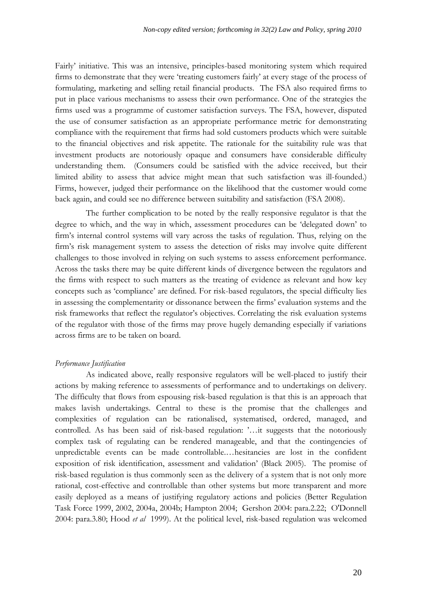Fairly' initiative. This was an intensive, principles-based monitoring system which required firms to demonstrate that they were 'treating customers fairly' at every stage of the process of formulating, marketing and selling retail financial products. The FSA also required firms to put in place various mechanisms to assess their own performance. One of the strategies the firms used was a programme of customer satisfaction surveys. The FSA, however, disputed the use of consumer satisfaction as an appropriate performance metric for demonstrating compliance with the requirement that firms had sold customers products which were suitable to the financial objectives and risk appetite. The rationale for the suitability rule was that investment products are notoriously opaque and consumers have considerable difficulty understanding them. (Consumers could be satisfied with the advice received, but their limited ability to assess that advice might mean that such satisfaction was ill-founded.) Firms, however, judged their performance on the likelihood that the customer would come back again, and could see no difference between suitability and satisfaction (FSA 2008).

The further complication to be noted by the really responsive regulator is that the degree to which, and the way in which, assessment procedures can be 'delegated down' to firm's internal control systems will vary across the tasks of regulation. Thus, relying on the firm's risk management system to assess the detection of risks may involve quite different challenges to those involved in relying on such systems to assess enforcement performance. Across the tasks there may be quite different kinds of divergence between the regulators and the firms with respect to such matters as the treating of evidence as relevant and how key concepts such as 'compliance' are defined. For risk-based regulators, the special difficulty lies in assessing the complementarity or dissonance between the firms' evaluation systems and the risk frameworks that reflect the regulator's objectives. Correlating the risk evaluation systems of the regulator with those of the firms may prove hugely demanding especially if variations across firms are to be taken on board.

#### *Performance Justification*

As indicated above, really responsive regulators will be well-placed to justify their actions by making reference to assessments of performance and to undertakings on delivery. The difficulty that flows from espousing risk-based regulation is that this is an approach that makes lavish undertakings. Central to these is the promise that the challenges and complexities of regulation can be rationalised, systematised, ordered, managed, and controlled. As has been said of risk-based regulation: '…it suggests that the notoriously complex task of regulating can be rendered manageable, and that the contingencies of unpredictable events can be made controllable.…hesitancies are lost in the confident exposition of risk identification, assessment and validation' (Black 2005). The promise of risk-based regulation is thus commonly seen as the delivery of a system that is not only more rational, cost-effective and controllable than other systems but more transparent and more easily deployed as a means of justifying regulatory actions and policies (Better Regulation Task Force 1999, 2002, 2004a, 2004b; Hampton 2004; Gershon 2004: para.2.22; O'Donnell 2004: para.3.80; Hood *et al* 1999). At the political level, risk-based regulation was welcomed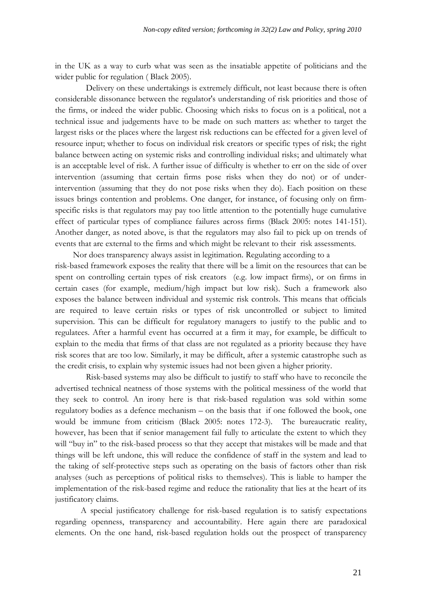in the UK as a way to curb what was seen as the insatiable appetite of politicians and the wider public for regulation ( Black 2005).

 Delivery on these undertakings is extremely difficult, not least because there is often considerable dissonance between the regulator's understanding of risk priorities and those of the firms, or indeed the wider public. Choosing which risks to focus on is a political, not a technical issue and judgements have to be made on such matters as: whether to target the largest risks or the places where the largest risk reductions can be effected for a given level of resource input; whether to focus on individual risk creators or specific types of risk; the right balance between acting on systemic risks and controlling individual risks; and ultimately what is an acceptable level of risk. A further issue of difficulty is whether to err on the side of over intervention (assuming that certain firms pose risks when they do not) or of underintervention (assuming that they do not pose risks when they do). Each position on these issues brings contention and problems. One danger, for instance, of focusing only on firmspecific risks is that regulators may pay too little attention to the potentially huge cumulative effect of particular types of compliance failures across firms (Black 2005: notes 141-151). Another danger, as noted above, is that the regulators may also fail to pick up on trends of events that are external to the firms and which might be relevant to their risk assessments.

 Nor does transparency always assist in legitimation. Regulating according to a risk-based framework exposes the reality that there will be a limit on the resources that can be spent on controlling certain types of risk creators (e.g. low impact firms), or on firms in certain cases (for example, medium/high impact but low risk). Such a framework also exposes the balance between individual and systemic risk controls. This means that officials are required to leave certain risks or types of risk uncontrolled or subject to limited supervision. This can be difficult for regulatory managers to justify to the public and to regulatees. After a harmful event has occurred at a firm it may, for example, be difficult to explain to the media that firms of that class are not regulated as a priority because they have risk scores that are too low. Similarly, it may be difficult, after a systemic catastrophe such as the credit crisis, to explain why systemic issues had not been given a higher priority.

Risk-based systems may also be difficult to justify to staff who have to reconcile the advertised technical neatness of those systems with the political messiness of the world that they seek to control. An irony here is that risk-based regulation was sold within some regulatory bodies as a defence mechanism – on the basis that if one followed the book, one would be immune from criticism (Black 2005: notes 172-3). The bureaucratic reality, however, has been that if senior management fail fully to articulate the extent to which they will "buy in" to the risk-based process so that they accept that mistakes will be made and that things will be left undone, this will reduce the confidence of staff in the system and lead to the taking of self-protective steps such as operating on the basis of factors other than risk analyses (such as perceptions of political risks to themselves). This is liable to hamper the implementation of the risk-based regime and reduce the rationality that lies at the heart of its justificatory claims.

A special justificatory challenge for risk-based regulation is to satisfy expectations regarding openness, transparency and accountability. Here again there are paradoxical elements. On the one hand, risk-based regulation holds out the prospect of transparency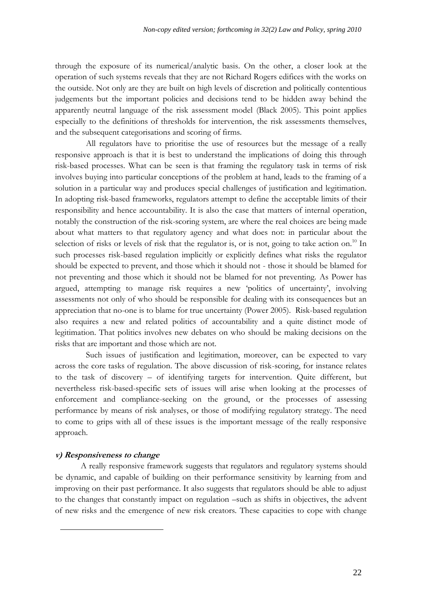through the exposure of its numerical/analytic basis. On the other, a closer look at the operation of such systems reveals that they are not Richard Rogers edifices with the works on the outside. Not only are they are built on high levels of discretion and politically contentious judgements but the important policies and decisions tend to be hidden away behind the apparently neutral language of the risk assessment model (Black 2005). This point applies especially to the definitions of thresholds for intervention, the risk assessments themselves, and the subsequent categorisations and scoring of firms.

All regulators have to prioritise the use of resources but the message of a really responsive approach is that it is best to understand the implications of doing this through risk-based processes. What can be seen is that framing the regulatory task in terms of risk involves buying into particular conceptions of the problem at hand, leads to the framing of a solution in a particular way and produces special challenges of justification and legitimation. In adopting risk-based frameworks, regulators attempt to define the acceptable limits of their responsibility and hence accountability. It is also the case that matters of internal operation, notably the construction of the risk-scoring system, are where the real choices are being made about what matters to that regulatory agency and what does not: in particular about the selection of risks or levels of risk that the regulator is, or is not, going to take action on.<sup>10</sup> In such processes risk-based regulation implicitly or explicitly defines what risks the regulator should be expected to prevent, and those which it should not - those it should be blamed for not preventing and those which it should not be blamed for not preventing. As Power has argued, attempting to manage risk requires a new 'politics of uncertainty', involving assessments not only of who should be responsible for dealing with its consequences but an appreciation that no-one is to blame for true uncertainty (Power 2005).Risk-based regulation also requires a new and related politics of accountability and a quite distinct mode of legitimation. That politics involves new debates on who should be making decisions on the risks that are important and those which are not.

Such issues of justification and legitimation, moreover, can be expected to vary across the core tasks of regulation. The above discussion of risk-scoring, for instance relates to the task of discovery – of identifying targets for intervention. Quite different, but nevertheless risk-based-specific sets of issues will arise when looking at the processes of enforcement and compliance-seeking on the ground, or the processes of assessing performance by means of risk analyses, or those of modifying regulatory strategy. The need to come to grips with all of these issues is the important message of the really responsive approach.

#### **v) Responsiveness to change**

 $\overline{a}$ 

A really responsive framework suggests that regulators and regulatory systems should be dynamic, and capable of building on their performance sensitivity by learning from and improving on their past performance. It also suggests that regulators should be able to adjust to the changes that constantly impact on regulation –such as shifts in objectives, the advent of new risks and the emergence of new risk creators. These capacities to cope with change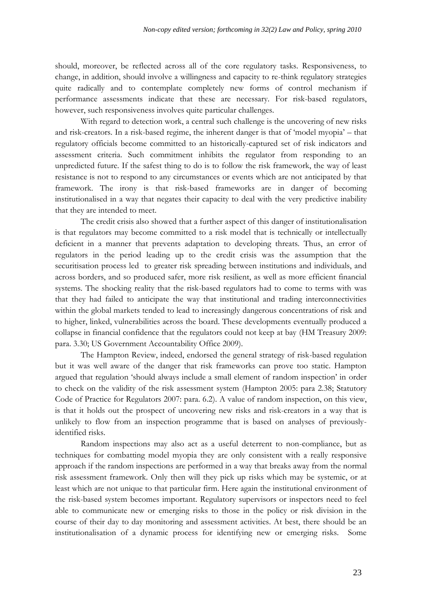should, moreover, be reflected across all of the core regulatory tasks. Responsiveness, to change, in addition, should involve a willingness and capacity to re-think regulatory strategies quite radically and to contemplate completely new forms of control mechanism if performance assessments indicate that these are necessary. For risk-based regulators, however, such responsiveness involves quite particular challenges.

With regard to detection work, a central such challenge is the uncovering of new risks and risk-creators. In a risk-based regime, the inherent danger is that of 'model myopia' – that regulatory officials become committed to an historically-captured set of risk indicators and assessment criteria. Such commitment inhibits the regulator from responding to an unpredicted future. If the safest thing to do is to follow the risk framework, the way of least resistance is not to respond to any circumstances or events which are not anticipated by that framework. The irony is that risk-based frameworks are in danger of becoming institutionalised in a way that negates their capacity to deal with the very predictive inability that they are intended to meet.

The credit crisis also showed that a further aspect of this danger of institutionalisation is that regulators may become committed to a risk model that is technically or intellectually deficient in a manner that prevents adaptation to developing threats. Thus, an error of regulators in the period leading up to the credit crisis was the assumption that the securitisation process led to greater risk spreading between institutions and individuals, and across borders, and so produced safer, more risk resilient, as well as more efficient financial systems. The shocking reality that the risk-based regulators had to come to terms with was that they had failed to anticipate the way that institutional and trading interconnectivities within the global markets tended to lead to increasingly dangerous concentrations of risk and to higher, linked, vulnerabilities across the board. These developments eventually produced a collapse in financial confidence that the regulators could not keep at bay (HM Treasury 2009: para. 3.30; US Government Accountability Office 2009).

The Hampton Review, indeed, endorsed the general strategy of risk-based regulation but it was well aware of the danger that risk frameworks can prove too static. Hampton argued that regulation 'should always include a small element of random inspection' in order to check on the validity of the risk assessment system (Hampton 2005: para 2.38; Statutory Code of Practice for Regulators 2007: para. 6.2). A value of random inspection, on this view, is that it holds out the prospect of uncovering new risks and risk-creators in a way that is unlikely to flow from an inspection programme that is based on analyses of previouslyidentified risks.

Random inspections may also act as a useful deterrent to non-compliance, but as techniques for combatting model myopia they are only consistent with a really responsive approach if the random inspections are performed in a way that breaks away from the normal risk assessment framework. Only then will they pick up risks which may be systemic, or at least which are not unique to that particular firm. Here again the institutional environment of the risk-based system becomes important. Regulatory supervisors or inspectors need to feel able to communicate new or emerging risks to those in the policy or risk division in the course of their day to day monitoring and assessment activities. At best, there should be an institutionalisation of a dynamic process for identifying new or emerging risks. Some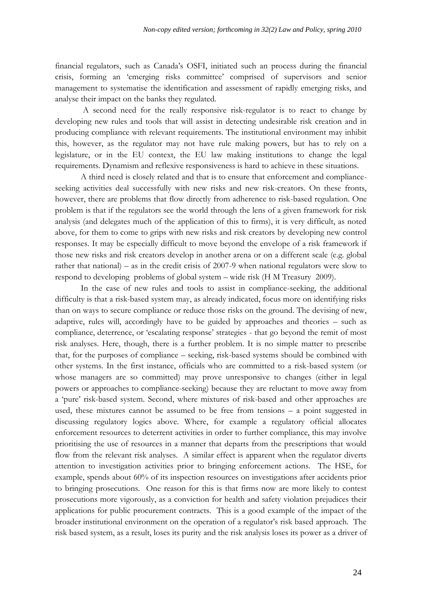financial regulators, such as Canada's OSFI, initiated such an process during the financial crisis, forming an 'emerging risks committee' comprised of supervisors and senior management to systematise the identification and assessment of rapidly emerging risks, and analyse their impact on the banks they regulated.

A second need for the really responsive risk-regulator is to react to change by developing new rules and tools that will assist in detecting undesirable risk creation and in producing compliance with relevant requirements. The institutional environment may inhibit this, however, as the regulator may not have rule making powers, but has to rely on a legislature, or in the EU context, the EU law making institutions to change the legal requirements. Dynamism and reflexive responsiveness is hard to achieve in these situations.

A third need is closely related and that is to ensure that enforcement and complianceseeking activities deal successfully with new risks and new risk-creators. On these fronts, however, there are problems that flow directly from adherence to risk-based regulation. One problem is that if the regulators see the world through the lens of a given framework for risk analysis (and delegates much of the application of this to firms), it is very difficult, as noted above, for them to come to grips with new risks and risk creators by developing new control responses. It may be especially difficult to move beyond the envelope of a risk framework if those new risks and risk creators develop in another arena or on a different scale (e.g. global rather that national) – as in the credit crisis of 2007-9 when national regulators were slow to respond to developing problems of global system – wide risk (H M Treasury 2009).

In the case of new rules and tools to assist in compliance-seeking, the additional difficulty is that a risk-based system may, as already indicated, focus more on identifying risks than on ways to secure compliance or reduce those risks on the ground. The devising of new, adaptive, rules will, accordingly have to be guided by approaches and theories – such as compliance, deterrence, or 'escalating response' strategies - that go beyond the remit of most risk analyses. Here, though, there is a further problem. It is no simple matter to prescribe that, for the purposes of compliance – seeking, risk-based systems should be combined with other systems. In the first instance, officials who are committed to a risk-based system (or whose managers are so committed) may prove unresponsive to changes (either in legal powers or approaches to compliance-seeking) because they are reluctant to move away from a 'pure' risk-based system. Second, where mixtures of risk-based and other approaches are used, these mixtures cannot be assumed to be free from tensions – a point suggested in discussing regulatory logics above. Where, for example a regulatory official allocates enforcement resources to deterrent activities in order to further compliance, this may involve prioritising the use of resources in a manner that departs from the prescriptions that would flow from the relevant risk analyses. A similar effect is apparent when the regulator diverts attention to investigation activities prior to bringing enforcement actions. The HSE, for example, spends about 60% of its inspection resources on investigations after accidents prior to bringing prosecutions. One reason for this is that firms now are more likely to contest prosecutions more vigorously, as a conviction for health and safety violation prejudices their applications for public procurement contracts. This is a good example of the impact of the broader institutional environment on the operation of a regulator's risk based approach. The risk based system, as a result, loses its purity and the risk analysis loses its power as a driver of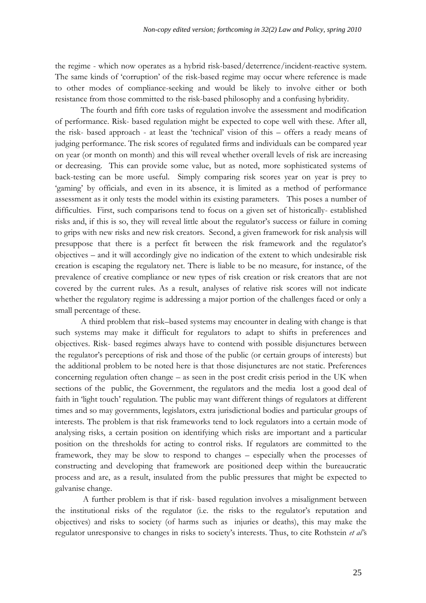the regime - which now operates as a hybrid risk-based/deterrence/incident-reactive system. The same kinds of 'corruption' of the risk-based regime may occur where reference is made to other modes of compliance-seeking and would be likely to involve either or both resistance from those committed to the risk-based philosophy and a confusing hybridity.

The fourth and fifth core tasks of regulation involve the assessment and modification of performance. Risk- based regulation might be expected to cope well with these. After all, the risk- based approach - at least the 'technical' vision of this – offers a ready means of judging performance. The risk scores of regulated firms and individuals can be compared year on year (or month on month) and this will reveal whether overall levels of risk are increasing or decreasing. This can provide some value, but as noted, more sophisticated systems of back-testing can be more useful. Simply comparing risk scores year on year is prey to 'gaming' by officials, and even in its absence, it is limited as a method of performance assessment as it only tests the model within its existing parameters. This poses a number of difficulties. First, such comparisons tend to focus on a given set of historically- established risks and, if this is so, they will reveal little about the regulator's success or failure in coming to grips with new risks and new risk creators. Second, a given framework for risk analysis will presuppose that there is a perfect fit between the risk framework and the regulator's objectives – and it will accordingly give no indication of the extent to which undesirable risk creation is escaping the regulatory net. There is liable to be no measure, for instance, of the prevalence of creative compliance or new types of risk creation or risk creators that are not covered by the current rules. As a result, analyses of relative risk scores will not indicate whether the regulatory regime is addressing a major portion of the challenges faced or only a small percentage of these.

A third problem that risk–based systems may encounter in dealing with change is that such systems may make it difficult for regulators to adapt to shifts in preferences and objectives. Risk- based regimes always have to contend with possible disjunctures between the regulator's perceptions of risk and those of the public (or certain groups of interests) but the additional problem to be noted here is that those disjunctures are not static. Preferences concerning regulation often change – as seen in the post credit crisis period in the UK when sections of the public, the Government, the regulators and the media lost a good deal of faith in 'light touch' regulation. The public may want different things of regulators at different times and so may governments, legislators, extra jurisdictional bodies and particular groups of interests. The problem is that risk frameworks tend to lock regulators into a certain mode of analysing risks, a certain position on identifying which risks are important and a particular position on the thresholds for acting to control risks. If regulators are committed to the framework, they may be slow to respond to changes – especially when the processes of constructing and developing that framework are positioned deep within the bureaucratic process and are, as a result, insulated from the public pressures that might be expected to galvanise change.

A further problem is that if risk- based regulation involves a misalignment between the institutional risks of the regulator (i.e. the risks to the regulator's reputation and objectives) and risks to society (of harms such as injuries or deaths), this may make the regulator unresponsive to changes in risks to society's interests. Thus, to cite Rothstein *et al'*s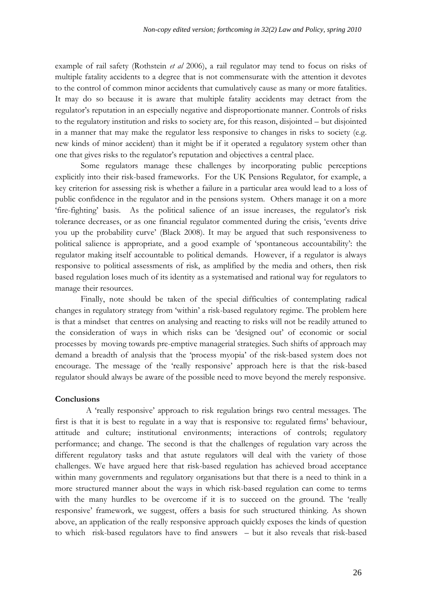example of rail safety (Rothstein *et al* 2006), a rail regulator may tend to focus on risks of multiple fatality accidents to a degree that is not commensurate with the attention it devotes to the control of common minor accidents that cumulatively cause as many or more fatalities. It may do so because it is aware that multiple fatality accidents may detract from the regulator's reputation in an especially negative and disproportionate manner. Controls of risks to the regulatory institution and risks to society are, for this reason, disjointed – but disjointed in a manner that may make the regulator less responsive to changes in risks to society (e.g. new kinds of minor accident) than it might be if it operated a regulatory system other than one that gives risks to the regulator's reputation and objectives a central place.

Some regulators manage these challenges by incorporating public perceptions explicitly into their risk-based frameworks. For the UK Pensions Regulator, for example, a key criterion for assessing risk is whether a failure in a particular area would lead to a loss of public confidence in the regulator and in the pensions system. Others manage it on a more 'fire-fighting' basis. As the political salience of an issue increases, the regulator's risk tolerance decreases, or as one financial regulator commented during the crisis, 'events drive you up the probability curve' (Black 2008). It may be argued that such responsiveness to political salience is appropriate, and a good example of 'spontaneous accountability': the regulator making itself accountable to political demands. However, if a regulator is always responsive to political assessments of risk, as amplified by the media and others, then risk based regulation loses much of its identity as a systematised and rational way for regulators to manage their resources.

Finally, note should be taken of the special difficulties of contemplating radical changes in regulatory strategy from 'within' a risk-based regulatory regime. The problem here is that a mindset that centres on analysing and reacting to risks will not be readily attuned to the consideration of ways in which risks can be 'designed out' of economic or social processes by moving towards pre-emptive managerial strategies. Such shifts of approach may demand a breadth of analysis that the 'process myopia' of the risk-based system does not encourage. The message of the 'really responsive' approach here is that the risk-based regulator should always be aware of the possible need to move beyond the merely responsive.

#### **Conclusions**

A 'really responsive' approach to risk regulation brings two central messages. The first is that it is best to regulate in a way that is responsive to: regulated firms' behaviour, attitude and culture; institutional environments; interactions of controls; regulatory performance; and change. The second is that the challenges of regulation vary across the different regulatory tasks and that astute regulators will deal with the variety of those challenges. We have argued here that risk-based regulation has achieved broad acceptance within many governments and regulatory organisations but that there is a need to think in a more structured manner about the ways in which risk-based regulation can come to terms with the many hurdles to be overcome if it is to succeed on the ground. The 'really responsive' framework, we suggest, offers a basis for such structured thinking. As shown above, an application of the really responsive approach quickly exposes the kinds of question to which risk-based regulators have to find answers – but it also reveals that risk-based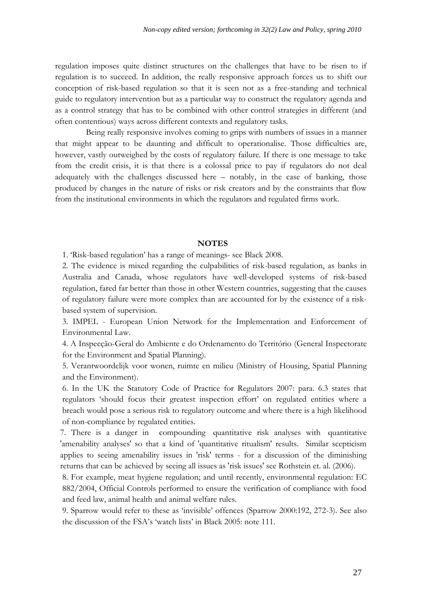regulation imposes quite distinct structures on the challenges that have to be risen to if regulation is to succeed. In addition, the really responsive approach forces us to shift our conception of risk-based regulation so that it is seen not as a free-standing and technical guide to regulatory intervention but as a particular way to construct the regulatory agenda and as a control strategy that has to be combined with other control strategies in different (and often contentious) ways across different contexts and regulatory tasks.

Being really responsive involves coming to grips with numbers of issues in a manner that might appear to be daunting and difficult to operationalise. Those difficulties are, however, vastly outweighed by the costs of regulatory failure. If there is one message to take from the credit crisis, it is that there is a colossal price to pay if regulators do not deal adequately with the challenges discussed here – notably, in the case of banking, those produced by changes in the nature of risks or risk creators and by the constraints that flow from the institutional environments in which the regulators and regulated firms work.

#### **NOTES**

1. 'Risk-based regulation' has a range of meanings- see Black 2008.

2. The evidence is mixed regarding the culpabilities of risk-based regulation, as banks in Australia and Canada, whose regulators have well-developed systems of risk-based regulation, fared far better than those in other Western countries, suggesting that the causes of regulatory failure were more complex than are accounted for by the existence of a riskbased system of supervision.

3. IMPEL - European Union Network for the Implementation and Enforcement of Environmental Law.

4. A Inspecção-Geral do Ambiente e do Ordenamento do Território (General Inspectorate for the Environment and Spatial Planning).

5. Verantwoordelijk voor wonen, ruimte en milieu (Ministry of Housing, Spatial Planning and the Environment).

6. In the UK the Statutory Code of Practice for Regulators 2007: para. 6.3 states that regulators 'should focus their greatest inspection effort' on regulated entities where a breach would pose a serious risk to regulatory outcome and where there is a high likelihood of non-compliance by regulated entities.

7. There is a danger in compounding quantitative risk analyses with quantitative 'amenability analyses' so that a kind of 'quantitative ritualism' results. Similar scepticism applies to seeing amenability issues in 'risk' terms - for a discussion of the diminishing returns that can be achieved by seeing all issues as 'risk issues' see Rothstein et. al. (2006).

8. For example, meat hygiene regulation; and until recently, environmental regulation: EC 882/2004, Official Controls performed to ensure the verification of compliance with food and feed law, animal health and animal welfare rules.

9. Sparrow would refer to these as 'invisible' offences (Sparrow 2000:192, 272-3). See also the discussion of the FSA's 'watch lists' in Black 2005: note 111.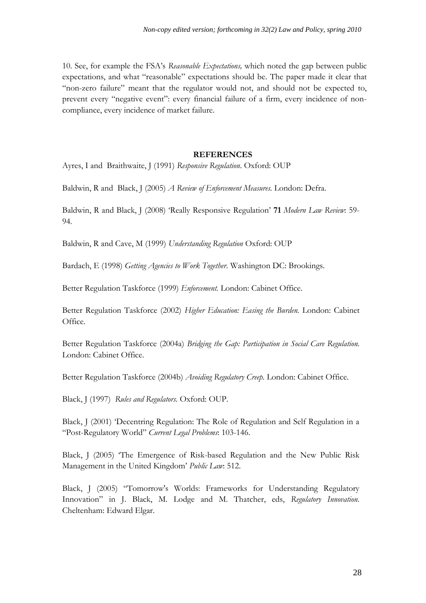10. See, for example the FSA's *Reasonable Expectations,* which noted the gap between public expectations, and what "reasonable" expectations should be. The paper made it clear that "non-zero failure" meant that the regulator would not, and should not be expected to, prevent every "negative event": every financial failure of a firm, every incidence of noncompliance, every incidence of market failure.

#### **REFERENCES**

Ayres, I and Braithwaite, J (1991) *Responsive Regulation*. Oxford: OUP

Baldwin, R and Black, J (2005) *A Review of Enforcement Measures.* London: Defra.

Baldwin, R and Black, J (2008) 'Really Responsive Regulation' **71** *Modern Law Review*: 59- 94.

Baldwin, R and Cave, M (1999) *Understanding Regulation* Oxford: OUP

Bardach, E (1998) *Getting Agencies to Work Together*. Washington DC: Brookings.

Better Regulation Taskforce (1999) *Enforcement.* London: Cabinet Office.

Better Regulation Taskforce (2002) *Higher Education: Easing the Burden.* London: Cabinet Office.

Better Regulation Taskforce (2004a) *Bridging the Gap: Participation in Social Care Regulation.*  London: Cabinet Office.

Better Regulation Taskforce (2004b) *Avoiding Regulatory Creep.* London: Cabinet Office.

Black, J (1997) *Rules and Regulators.* Oxford: OUP.

Black, J (2001) 'Decentring Regulation: The Role of Regulation and Self Regulation in a "Post-Regulatory World" *Current Legal Problems*: 103-146.

Black, J (2005) 'The Emergence of Risk-based Regulation and the New Public Risk Management in the United Kingdom' *Public Law*: 512.

Black, J (2005) "Tomorrow's Worlds: Frameworks for Understanding Regulatory Innovation" in J. Black, M. Lodge and M. Thatcher, eds, *Regulatory Innovation.* Cheltenham: Edward Elgar.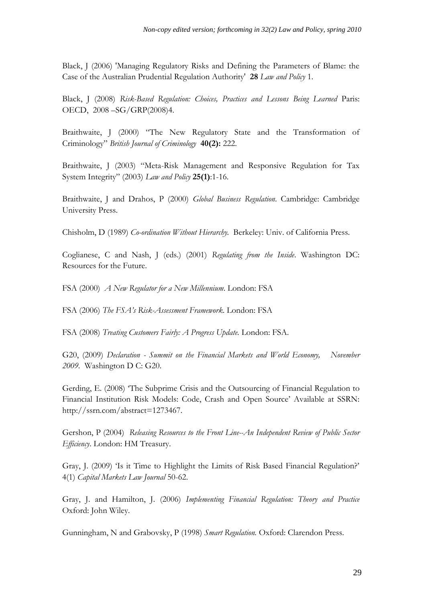Black, J (2006) 'Managing Regulatory Risks and Defining the Parameters of Blame: the Case of the Australian Prudential Regulation Authority' **28** *Law and Policy* 1.

Black, J (2008) *Risk-Based Regulation: Choices, Practices and Lessons Being Learned* Paris: OECD, 2008 –SG/GRP(2008)4.

Braithwaite, J (2000) "The New Regulatory State and the Transformation of Criminology" *British Journal of Criminology* **40(2):** 222.

Braithwaite, J (2003) "Meta-Risk Management and Responsive Regulation for Tax System Integrity" (2003) *Law and Policy* **25(1)**:1-16.

Braithwaite, J and Drahos, P (2000) *Global Business Regulation*. Cambridge: Cambridge University Press.

Chisholm, D (1989) *Co-ordination Without Hierarchy.* Berkeley: Univ. of California Press.

Coglianese, C and Nash, J (eds.) (2001) *Regulating from the Inside*. Washington DC: Resources for the Future.

FSA (2000) *A New Regulator for a New Millennium*. London: FSA

FSA (2006) *The FSA's Risk-Assessment Framework*. London: FSA

FSA (2008) *Treating Customers Fairly: A Progress Update.* London: FSA.

G20, (2009) *Declaration - Summit on the Financial Markets and World Economy, November 2009.* Washington D C: G20.

Gerding, E. (2008) 'The Subprime Crisis and the Outsourcing of Financial Regulation to Financial Institution Risk Models: Code, Crash and Open Source' Available at SSRN: http://ssrn.com/abstract=1273467.

Gershon, P (2004) *Releasing Resources to the Front Line--An Independent Review of Public Sector Efficiency*. London: HM Treasury.

Gray, J. (2009) 'Is it Time to Highlight the Limits of Risk Based Financial Regulation?' 4(1) *Capital Markets Law Journal* 50-62.

Gray, J. and Hamilton, J. (2006) *Implementing Financial Regulation: Theory and Practice*  Oxford: John Wiley.

Gunningham, N and Grabovsky, P (1998) *Smart Regulation.* Oxford: Clarendon Press.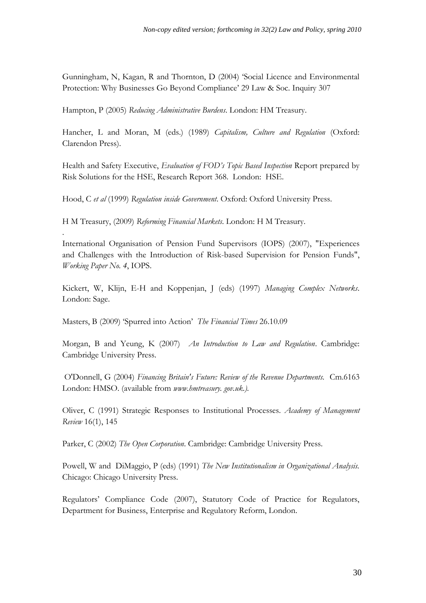Gunningham, N, Kagan, R and Thornton, D (2004) 'Social Licence and Environmental Protection: Why Businesses Go Beyond Compliance' 29 Law & Soc. Inquiry 307

Hampton, P (2005) *Reducing Administrative Burdens*. London: HM Treasury.

Hancher, L and Moran, M (eds.) (1989) *Capitalism, Culture and Regulation* (Oxford: Clarendon Press).

Health and Safety Executive, *Evaluation of FOD's Topic Based Inspection* Report prepared by Risk Solutions for the HSE, Research Report 368. London: HSE.

Hood, C *et al* (1999) *Regulation inside Government*. Oxford: Oxford University Press.

H M Treasury, (2009) *Reforming Financial Markets*. London: H M Treasury.

.

International Organisation of Pension Fund Supervisors (IOPS) (2007), "Experiences and Challenges with the Introduction of Risk-based Supervision for Pension Funds", *Working Paper No. 4*, IOPS.

Kickert, W, Klijn, E-H and Koppenjan, J (eds) (1997) *Managing Complex Networks*. London: Sage.

Masters, B (2009) 'Spurred into Action' *The Financial Times* 26.10.09

Morgan, B and Yeung, K (2007) *An Introduction to Law and Regulation*. Cambridge: Cambridge University Press.

O'Donnell, G (2004) *Financing Britain's Future: Review of the Revenue Departments.* Cm.6163 London: HMSO. (available from *www.hmtreasury. gov.uk.).*

Oliver, C (1991) Strategic Responses to Institutional Processes. *Academy of Management Review* 16(1), 145

Parker, C (2002) *The Open Corporation*. Cambridge: Cambridge University Press.

Powell, W and DiMaggio, P (eds) (1991) *The New Institutionalism in Organizational Analysis.*  Chicago: Chicago University Press.

Regulators' Compliance Code (2007), Statutory Code of Practice for Regulators, Department for Business, Enterprise and Regulatory Reform, London.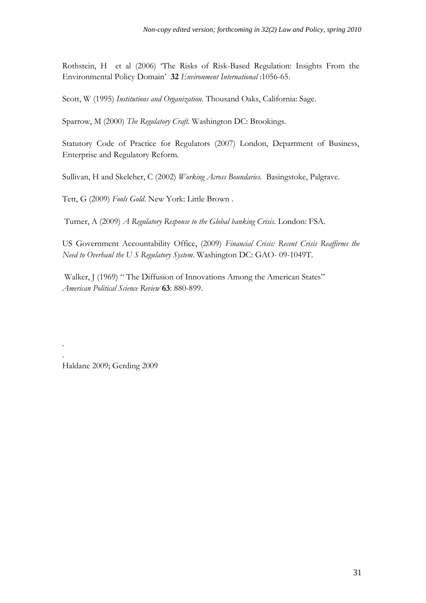Rothstein, H et al (2006) 'The Risks of Risk-Based Regulation: Insights From the Environmental Policy Domain' **32** *Environment International* :1056-65.

Scott, W (1995) *Institutions and Organization.* Thousand Oaks, California: Sage.

Sparrow, M (2000) *The Regulatory Craft.* Washington DC: Brookings.

Statutory Code of Practice for Regulators (2007) London, Department of Business, Enterprise and Regulatory Reform.

Sullivan, H and Skelcher, C (2002) *Working Across Boundaries.* Basingstoke, Palgrave.

Tett, G (2009) *Fools Gold*. New York: Little Brown .

Turner, A (2009) *A Regulatory Response to the Global banking Crisis.* London: FSA.

US Government Accountability Office, (2009) *Financial Crisis: Recent Crisis Reaffirms the Need to Overhaul the U S Regulatory System*. Washington DC: GAO- 09-1049T.

Walker, J (1969) " The Diffusion of Innovations Among the American States" *American Political Science Review* **63**: 880-899.

Haldane 2009; Gerding 2009

. .